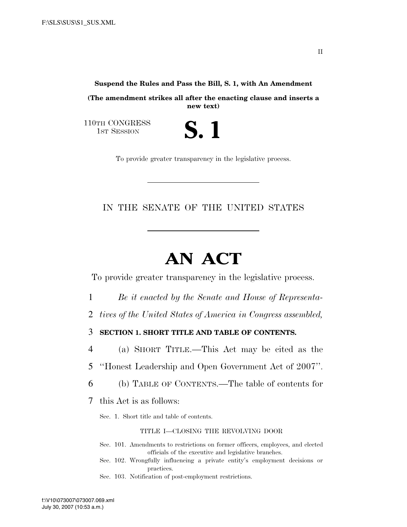## **Suspend the Rules and Pass the Bill, S. 1, with An Amendment**

**(The amendment strikes all after the enacting clause and inserts a new text)** 

S. 1

110TH CONGRESS<br>1st Session

To provide greater transparency in the legislative process.

# IN THE SENATE OF THE UNITED STATES

# **AN ACT**

To provide greater transparency in the legislative process.

- 1 *Be it enacted by the Senate and House of Representa-*
- 2 *tives of the United States of America in Congress assembled,*

3 **SECTION 1. SHORT TITLE AND TABLE OF CONTENTS.** 

4 (a) SHORT TITLE.—This Act may be cited as the

5 ''Honest Leadership and Open Government Act of 2007''.

6 (b) TABLE OF CONTENTS.—The table of contents for

7 this Act is as follows:

Sec. 1. Short title and table of contents.

### TITLE I—CLOSING THE REVOLVING DOOR

- Sec. 101. Amendments to restrictions on former officers, employees, and elected officials of the executive and legislative branches.
- Sec. 102. Wrongfully influencing a private entity's employment decisions or practices.

Sec. 103. Notification of post-employment restrictions.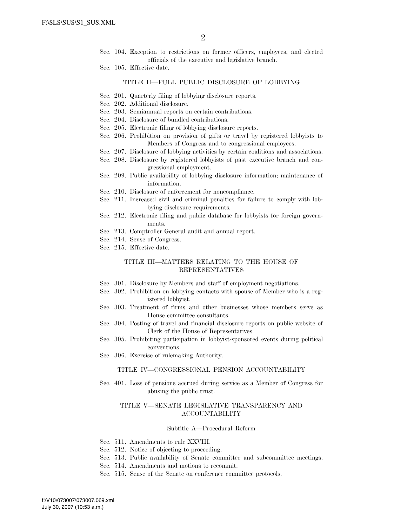- Sec. 104. Exception to restrictions on former officers, employees, and elected officials of the executive and legislative branch.
- Sec. 105. Effective date.

### TITLE II—FULL PUBLIC DISCLOSURE OF LOBBYING

- Sec. 201. Quarterly filing of lobbying disclosure reports.
- Sec. 202. Additional disclosure.
- Sec. 203. Semiannual reports on certain contributions.
- Sec. 204. Disclosure of bundled contributions.
- Sec. 205. Electronic filing of lobbying disclosure reports.
- Sec. 206. Prohibition on provision of gifts or travel by registered lobbyists to Members of Congress and to congressional employees.
- Sec. 207. Disclosure of lobbying activities by certain coalitions and associations.
- Sec. 208. Disclosure by registered lobbyists of past executive branch and congressional employment.
- Sec. 209. Public availability of lobbying disclosure information; maintenance of information.
- Sec. 210. Disclosure of enforcement for noncompliance.
- Sec. 211. Increased civil and criminal penalties for failure to comply with lobbying disclosure requirements.
- Sec. 212. Electronic filing and public database for lobbyists for foreign governments.
- Sec. 213. Comptroller General audit and annual report.
- Sec. 214. Sense of Congress.
- Sec. 215. Effective date.

### TITLE III—MATTERS RELATING TO THE HOUSE OF REPRESENTATIVES

- Sec. 301. Disclosure by Members and staff of employment negotiations.
- Sec. 302. Prohibition on lobbying contacts with spouse of Member who is a registered lobbyist.
- Sec. 303. Treatment of firms and other businesses whose members serve as House committee consultants.
- Sec. 304. Posting of travel and financial disclosure reports on public website of Clerk of the House of Representatives.
- Sec. 305. Prohibiting participation in lobbyist-sponsored events during political conventions.
- Sec. 306. Exercise of rulemaking Authority.

### TITLE IV—CONGRESSIONAL PENSION ACCOUNTABILITY

Sec. 401. Loss of pensions accrued during service as a Member of Congress for abusing the public trust.

### TITLE V—SENATE LEGISLATIVE TRANSPARENCY AND ACCOUNTABILITY

#### Subtitle A—Procedural Reform

- Sec. 511. Amendments to rule XXVIII.
- Sec. 512. Notice of objecting to proceeding.
- Sec. 513. Public availability of Senate committee and subcommittee meetings.
- Sec. 514. Amendments and motions to recommit.
- Sec. 515. Sense of the Senate on conference committee protocols.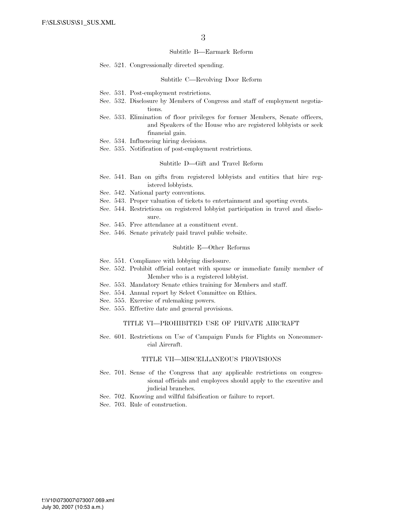#### Subtitle B—Earmark Reform

Sec. 521. Congressionally directed spending.

## Subtitle C—Revolving Door Reform

- Sec. 531. Post-employment restrictions.
- Sec. 532. Disclosure by Members of Congress and staff of employment negotiations.
- Sec. 533. Elimination of floor privileges for former Members, Senate officers, and Speakers of the House who are registered lobbyists or seek financial gain.
- Sec. 534. Influencing hiring decisions.
- Sec. 535. Notification of post-employment restrictions.

### Subtitle D—Gift and Travel Reform

- Sec. 541. Ban on gifts from registered lobbyists and entities that hire registered lobbyists.
- Sec. 542. National party conventions.
- Sec. 543. Proper valuation of tickets to entertainment and sporting events.
- Sec. 544. Restrictions on registered lobbyist participation in travel and disclosure.
- Sec. 545. Free attendance at a constituent event.
- Sec. 546. Senate privately paid travel public website.

#### Subtitle E—Other Reforms

- Sec. 551. Compliance with lobbying disclosure.
- Sec. 552. Prohibit official contact with spouse or immediate family member of Member who is a registered lobbyist.
- Sec. 553. Mandatory Senate ethics training for Members and staff.
- Sec. 554. Annual report by Select Committee on Ethics.
- Sec. 555. Exercise of rulemaking powers.
- Sec. 555. Effective date and general provisions.

#### TITLE VI—PROHIBITED USE OF PRIVATE AIRCRAFT

Sec. 601. Restrictions on Use of Campaign Funds for Flights on Noncommercial Aircraft.

### TITLE VII—MISCELLANEOUS PROVISIONS

- Sec. 701. Sense of the Congress that any applicable restrictions on congressional officials and employees should apply to the executive and judicial branches.
- Sec. 702. Knowing and willful falsification or failure to report.
- Sec. 703. Rule of construction.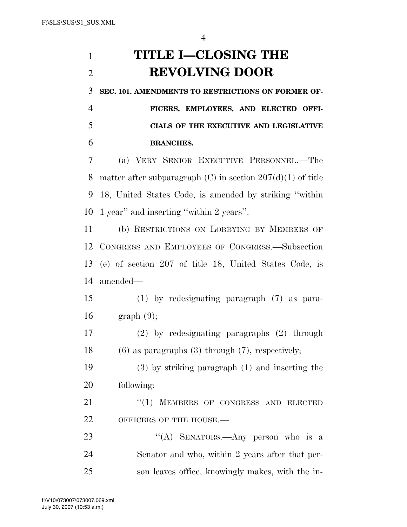# **TITLE I—CLOSING THE REVOLVING DOOR**

**SEC. 101. AMENDMENTS TO RESTRICTIONS ON FORMER OF-**

 **FICERS, EMPLOYEES, AND ELECTED OFFI- CIALS OF THE EXECUTIVE AND LEGISLATIVE BRANCHES.** 

 (a) VERY SENIOR EXECUTIVE PERSONNEL.—The 8 matter after subparagraph  $(C)$  in section  $207(d)(1)$  of title 18, United States Code, is amended by striking ''within 1 year'' and inserting ''within 2 years''.

 (b) RESTRICTIONS ON LOBBYING BY MEMBERS OF CONGRESS AND EMPLOYEES OF CONGRESS.—Subsection (e) of section 207 of title 18, United States Code, is amended—

 (1) by redesignating paragraph (7) as para-graph (9);

 (2) by redesignating paragraphs (2) through (6) as paragraphs (3) through (7), respectively;

 (3) by striking paragraph (1) and inserting the following:

21 "(1) MEMBERS OF CONGRESS AND ELECTED 22 OFFICERS OF THE HOUSE.

23 "(A) SENATORS.—Any person who is a Senator and who, within 2 years after that per-son leaves office, knowingly makes, with the in-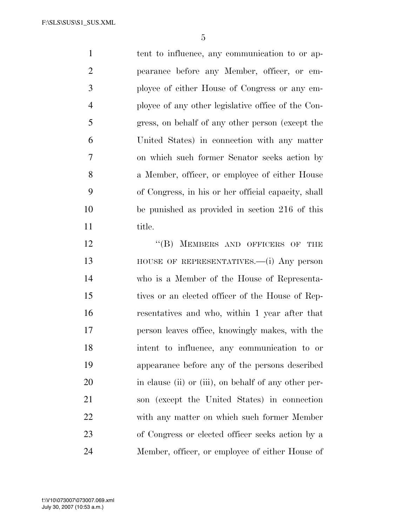1 tent to influence, any communication to or ap- pearance before any Member, officer, or em- ployee of either House of Congress or any em- ployee of any other legislative office of the Con- gress, on behalf of any other person (except the United States) in connection with any matter on which such former Senator seeks action by a Member, officer, or employee of either House of Congress, in his or her official capacity, shall be punished as provided in section 216 of this 11 title.

12 "(B) MEMBERS AND OFFICERS OF THE HOUSE OF REPRESENTATIVES.—(i) Any person who is a Member of the House of Representa- tives or an elected officer of the House of Rep- resentatives and who, within 1 year after that person leaves office, knowingly makes, with the intent to influence, any communication to or appearance before any of the persons described 20 in clause (ii) or (iii), on behalf of any other per- son (except the United States) in connection with any matter on which such former Member of Congress or elected officer seeks action by a Member, officer, or employee of either House of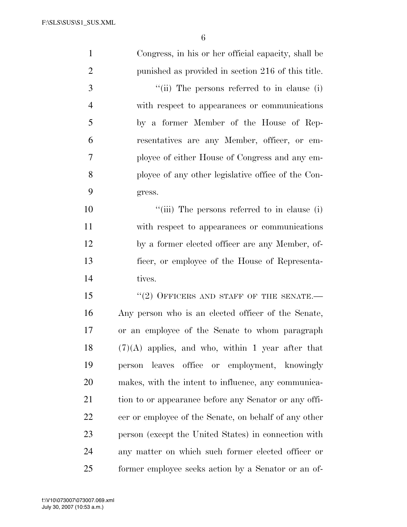| $\mathbf{1}$   | Congress, in his or her official capacity, shall be   |
|----------------|-------------------------------------------------------|
| $\overline{2}$ | punished as provided in section 216 of this title.    |
| 3              | "(ii) The persons referred to in clause (i)           |
| $\overline{4}$ | with respect to appearances or communications         |
| 5              | by a former Member of the House of Rep-               |
| 6              | resentatives are any Member, officer, or em-          |
| 7              | ployee of either House of Congress and any em-        |
| 8              | ployee of any other legislative office of the Con-    |
| 9              | gress.                                                |
| 10             | "(iii) The persons referred to in clause (i)          |
| 11             | with respect to appearances or communications         |
| 12             | by a former elected officer are any Member, of-       |
| 13             | ficer, or employee of the House of Representa-        |
| 14             | tives.                                                |
| 15             | $``(2)$ OFFICERS AND STAFF OF THE SENATE.-            |
| 16             | Any person who is an elected officer of the Senate,   |
| 17             | or an employee of the Senate to whom paragraph        |
| 18             | $(7)(A)$ applies, and who, within 1 year after that   |
| 19             | leaves office or employment, knowingly<br>person      |
| 20             | makes, with the intent to influence, any communica-   |
| 21             | tion to or appearance before any Senator or any offi- |
| 22             | cer or employee of the Senate, on behalf of any other |
| 23             | person (except the United States) in connection with  |
| 24             | any matter on which such former elected officer or    |
| 25             | former employee seeks action by a Senator or an of-   |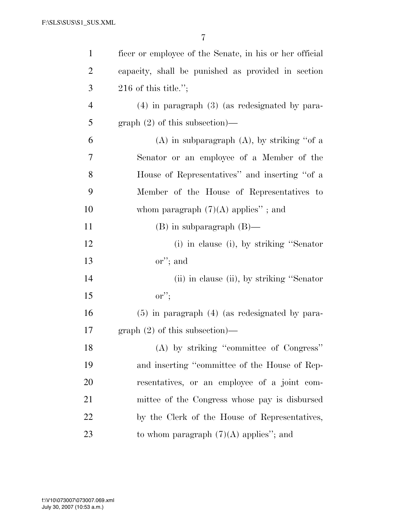| $\mathbf{1}$   | ficer or employee of the Senate, in his or her official |
|----------------|---------------------------------------------------------|
| $\overline{2}$ | capacity, shall be punished as provided in section      |
| 3              | $216$ of this title.";                                  |
| $\overline{4}$ | $(4)$ in paragraph $(3)$ (as redesignated by para-      |
| 5              | $graph (2)$ of this subsection)—                        |
| 6              | $(A)$ in subparagraph $(A)$ , by striking "of a         |
| 7              | Senator or an employee of a Member of the               |
| 8              | House of Representatives" and inserting "of a           |
| 9              | Member of the House of Representatives to               |
| 10             | whom paragraph $(7)(A)$ applies"; and                   |
| 11             | $(B)$ in subparagraph $(B)$ —                           |
| 12             | (i) in clause (i), by striking "Senator                 |
| 13             | or"; and                                                |
| 14             | (ii) in clause (ii), by striking "Senator"              |
| 15             | $\mathbf{or}$ ";                                        |
| 16             | $(5)$ in paragraph $(4)$ (as redesignated by para-      |
| 17             | $graph (2)$ of this subsection)—                        |
| 18             | (A) by striking "committee of Congress"                 |
| 19             | and inserting "committee of the House of Rep-           |
| 20             | resentatives, or an employee of a joint com-            |
| 21             | mittee of the Congress whose pay is disbursed           |
| 22             | by the Clerk of the House of Representatives,           |
| 23             | to whom paragraph $(7)(A)$ applies"; and                |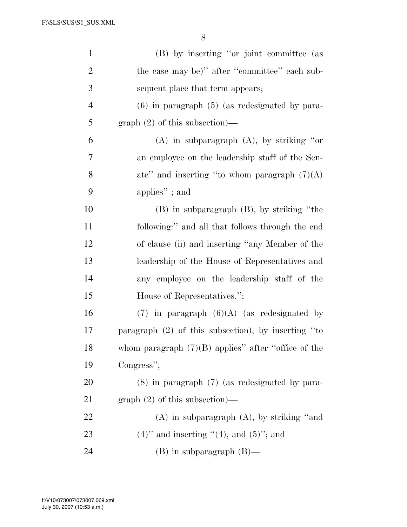| $\mathbf{1}$   | (B) by inserting "or joint committee (as              |
|----------------|-------------------------------------------------------|
| $\overline{2}$ | the case may be)" after "committee" each sub-         |
| 3              | sequent place that term appears;                      |
| $\overline{4}$ | $(6)$ in paragraph $(5)$ (as redesignated by para-    |
| 5              | $graph (2)$ of this subsection)—                      |
| 6              | $(A)$ in subparagraph $(A)$ , by striking "or         |
| $\overline{7}$ | an employee on the leadership staff of the Sen-       |
| 8              | ate" and inserting "to whom paragraph $(7)(A)$        |
| 9              | applies"; and                                         |
| 10             | $(B)$ in subparagraph $(B)$ , by striking "the        |
| 11             | following:" and all that follows through the end      |
| 12             | of clause (ii) and inserting "any Member of the       |
| 13             | leadership of the House of Representatives and        |
| 14             | any employee on the leadership staff of the           |
| 15             | House of Representatives.";                           |
| 16             | $(7)$ in paragraph $(6)(A)$ (as redesignated by       |
| 17             | paragraph (2) of this subsection), by inserting "to   |
| 18             | whom paragraph $(7)(B)$ applies" after "office of the |
| 19             | Congress";                                            |
| 20             | $(8)$ in paragraph $(7)$ (as redesignated by para-    |
| 21             | $graph (2)$ of this subsection)—                      |
| 22             | $(A)$ in subparagraph $(A)$ , by striking "and        |
| 23             | $(4)$ " and inserting " $(4)$ , and $(5)$ "; and      |
| 24             | $(B)$ in subparagraph $(B)$ —                         |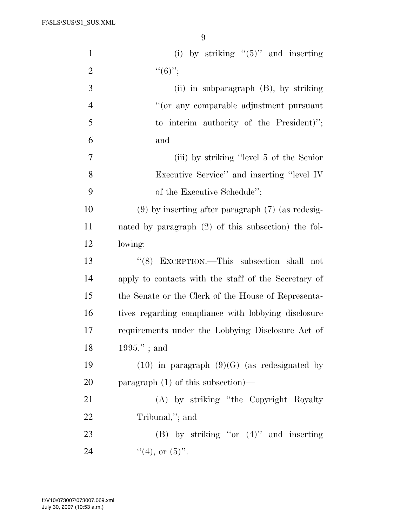F:\SLS\SUS\S1\_SUS.XML

| $\mathbf{1}$   | (i) by striking " $(5)$ " and inserting               |
|----------------|-------------------------------------------------------|
| $\overline{2}$ | $``(6)$ ";                                            |
| 3              | (ii) in subparagraph $(B)$ , by striking              |
| $\overline{4}$ | "(or any comparable adjustment pursuant               |
| 5              | to interim authority of the President)";              |
| 6              | and                                                   |
| 7              | (iii) by striking "level 5 of the Senior"             |
| 8              | Executive Service" and inserting "level IV            |
| 9              | of the Executive Schedule";                           |
| 10             | $(9)$ by inserting after paragraph $(7)$ (as redesig- |
| 11             | nated by paragraph (2) of this subsection) the fol-   |
| 12             | lowing:                                               |
| 13             | "(8) EXCEPTION.—This subsection shall not             |
| 14             | apply to contacts with the staff of the Secretary of  |
| 15             | the Senate or the Clerk of the House of Representa-   |
| 16             | tives regarding compliance with lobbying disclosure   |
| 17             | requirements under the Lobbying Disclosure Act of     |
| 18             | $1995."$ ; and                                        |
| 19             | $(10)$ in paragraph $(9)(G)$ (as redesignated by      |
| 20             | paragraph $(1)$ of this subsection)—                  |
| 21             | (A) by striking "the Copyright Royalty                |
| 22             | Tribunal,"; and                                       |
| 23             | (B) by striking "or $(4)$ " and inserting             |
| 24             | $"(4)$ , or $(5)"$ .                                  |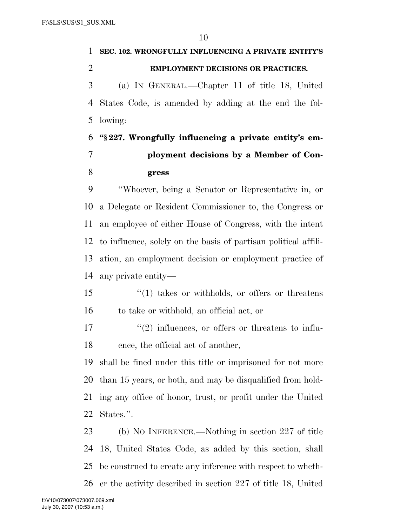# **SEC. 102. WRONGFULLY INFLUENCING A PRIVATE ENTITY'S EMPLOYMENT DECISIONS OR PRACTICES.**  (a) IN GENERAL.—Chapter 11 of title 18, United States Code, is amended by adding at the end the fol- lowing: **''§ 227. Wrongfully influencing a private entity's em- ployment decisions by a Member of Con- gress**  ''Whoever, being a Senator or Representative in, or a Delegate or Resident Commissioner to, the Congress or an employee of either House of Congress, with the intent to influence, solely on the basis of partisan political affili- ation, an employment decision or employment practice of any private entity—

 ''(1) takes or withholds, or offers or threatens to take or withhold, an official act, or

 $\mathcal{L}^{\prime}(2)$  influences, or offers or threatens to influ-ence, the official act of another,

 shall be fined under this title or imprisoned for not more than 15 years, or both, and may be disqualified from hold- ing any office of honor, trust, or profit under the United States.''.

 (b) NO INFERENCE.—Nothing in section 227 of title 18, United States Code, as added by this section, shall be construed to create any inference with respect to wheth-er the activity described in section 227 of title 18, United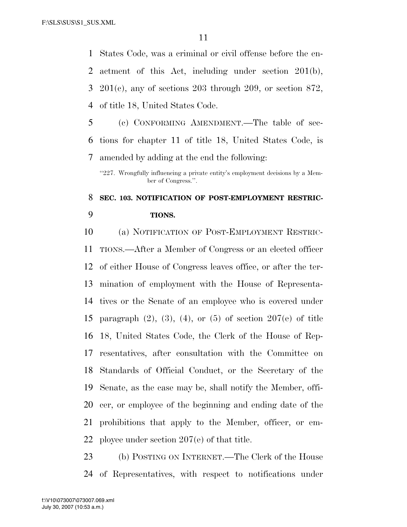States Code, was a criminal or civil offense before the en- actment of this Act, including under section 201(b), 201(c), any of sections 203 through 209, or section 872, of title 18, United States Code.

 (c) CONFORMING AMENDMENT.—The table of sec- tions for chapter 11 of title 18, United States Code, is amended by adding at the end the following:

"227. Wrongfully influencing a private entity's employment decisions by a Member of Congress.''.

# **SEC. 103. NOTIFICATION OF POST-EMPLOYMENT RESTRIC-TIONS.**

 (a) NOTIFICATION OF POST-EMPLOYMENT RESTRIC- TIONS.—After a Member of Congress or an elected officer of either House of Congress leaves office, or after the ter- mination of employment with the House of Representa- tives or the Senate of an employee who is covered under paragraph (2), (3), (4), or (5) of section 207(e) of title 18, United States Code, the Clerk of the House of Rep- resentatives, after consultation with the Committee on Standards of Official Conduct, or the Secretary of the Senate, as the case may be, shall notify the Member, offi- cer, or employee of the beginning and ending date of the prohibitions that apply to the Member, officer, or em-ployee under section 207(e) of that title.

 (b) POSTING ON INTERNET.—The Clerk of the House of Representatives, with respect to notifications under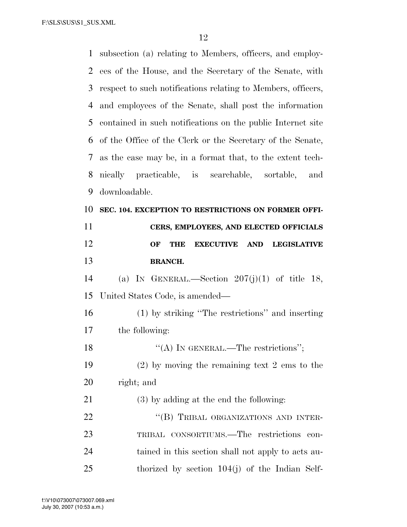F:\SLS\SUS\S1\_SUS.XML

| $\mathbf{1}$   | subsection (a) relating to Members, officers, and employ-                |
|----------------|--------------------------------------------------------------------------|
| 2              | ees of the House, and the Secretary of the Senate, with                  |
| 3              | respect to such notifications relating to Members, officers,             |
| $\overline{4}$ | and employees of the Senate, shall post the information                  |
| 5              | contained in such notifications on the public Internet site              |
| 6              | of the Office of the Clerk or the Secretary of the Senate,               |
| 7              | as the case may be, in a format that, to the extent tech-                |
| 8              | nically practicable, is searchable, sortable, and                        |
| 9              | downloadable.                                                            |
| 10             | SEC. 104. EXCEPTION TO RESTRICTIONS ON FORMER OFFI-                      |
| 11             | CERS, EMPLOYEES, AND ELECTED OFFICIALS                                   |
| 12             | OF<br><b>EXECUTIVE</b><br><b>AND</b><br><b>THE</b><br><b>LEGISLATIVE</b> |
| 13             | <b>BRANCH.</b>                                                           |
|                |                                                                          |
| 14             | (a) IN GENERAL.—Section $207(j)(1)$ of title 18,                         |
| 15             | United States Code, is amended—                                          |
| 16             | (1) by striking "The restrictions" and inserting                         |
| 17             | the following:                                                           |
| 18             | "(A) IN GENERAL.—The restrictions";                                      |
| 19             | $(2)$ by moving the remaining text 2 ems to the                          |
| 20             | right; and                                                               |
| 21             | $(3)$ by adding at the end the following:                                |
| 22             | "(B) TRIBAL ORGANIZATIONS AND INTER-                                     |
| 23             | TRIBAL CONSORTIUMS.—The restrictions<br>con-                             |
| 24             | tained in this section shall not apply to acts au-                       |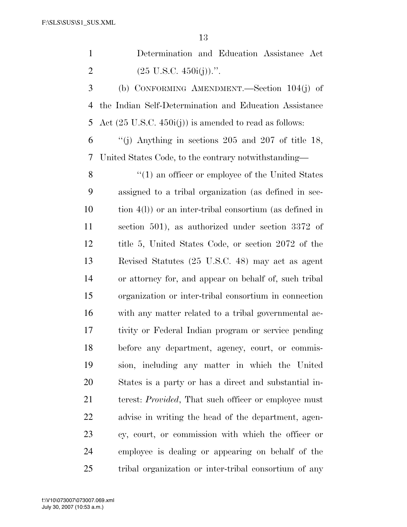| Determination and Education Assistance Act |  |  |
|--------------------------------------------|--|--|
| $(25 \text{ U.S.C. } 450i(j)).$ ".         |  |  |

 (b) CONFORMING AMENDMENT.—Section 104(j) of the Indian Self-Determination and Education Assistance Act (25 U.S.C. 450i(j)) is amended to read as follows:

 ''(j) Anything in sections 205 and 207 of title 18, United States Code, to the contrary notwithstanding—

8 ''(1) an officer or employee of the United States assigned to a tribal organization (as defined in sec- tion 4(l)) or an inter-tribal consortium (as defined in section 501), as authorized under section 3372 of title 5, United States Code, or section 2072 of the Revised Statutes (25 U.S.C. 48) may act as agent or attorney for, and appear on behalf of, such tribal organization or inter-tribal consortium in connection with any matter related to a tribal governmental ac- tivity or Federal Indian program or service pending before any department, agency, court, or commis- sion, including any matter in which the United States is a party or has a direct and substantial in- terest: *Provided*, That such officer or employee must advise in writing the head of the department, agen- cy, court, or commission with which the officer or employee is dealing or appearing on behalf of the tribal organization or inter-tribal consortium of any

July 30, 2007 (10:53 a.m.) f:\V10\073007\073007.069.xml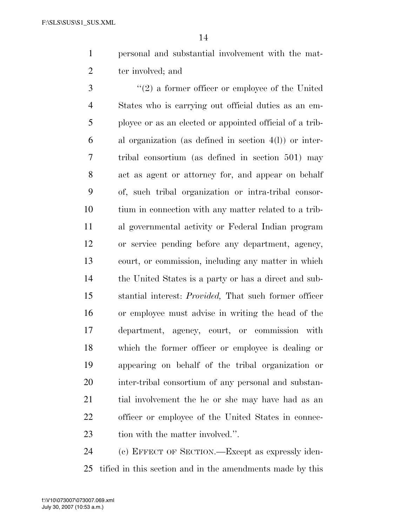personal and substantial involvement with the mat-ter involved; and

 ''(2) a former officer or employee of the United States who is carrying out official duties as an em- ployee or as an elected or appointed official of a trib- al organization (as defined in section 4(l)) or inter- tribal consortium (as defined in section 501) may act as agent or attorney for, and appear on behalf of, such tribal organization or intra-tribal consor- tium in connection with any matter related to a trib- al governmental activity or Federal Indian program or service pending before any department, agency, court, or commission, including any matter in which the United States is a party or has a direct and sub- stantial interest: *Provided,* That such former officer or employee must advise in writing the head of the department, agency, court, or commission with which the former officer or employee is dealing or appearing on behalf of the tribal organization or inter-tribal consortium of any personal and substan- tial involvement the he or she may have had as an officer or employee of the United States in connec-23 tion with the matter involved.".

 (c) EFFECT OF SECTION.—Except as expressly iden-tified in this section and in the amendments made by this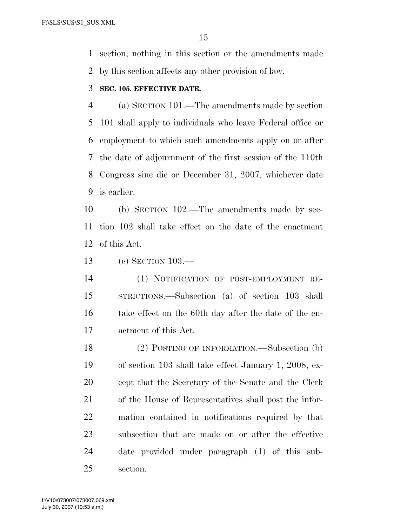section, nothing in this section or the amendments made by this section affects any other provision of law.

## **SEC. 105. EFFECTIVE DATE.**

 (a) SECTION 101.—The amendments made by section 101 shall apply to individuals who leave Federal office or employment to which such amendments apply on or after the date of adjournment of the first session of the 110th Congress sine die or December 31, 2007, whichever date is earlier.

 (b) SECTION 102.—The amendments made by sec- tion 102 shall take effect on the date of the enactment of this Act.

(c) SECTION 103.—

 (1) NOTIFICATION OF POST-EMPLOYMENT RE- STRICTIONS.—Subsection (a) of section 103 shall take effect on the 60th day after the date of the en-actment of this Act.

 (2) POSTING OF INFORMATION.—Subsection (b) of section 103 shall take effect January 1, 2008, ex- cept that the Secretary of the Senate and the Clerk of the House of Representatives shall post the infor- mation contained in notifications required by that subsection that are made on or after the effective date provided under paragraph (1) of this sub-section.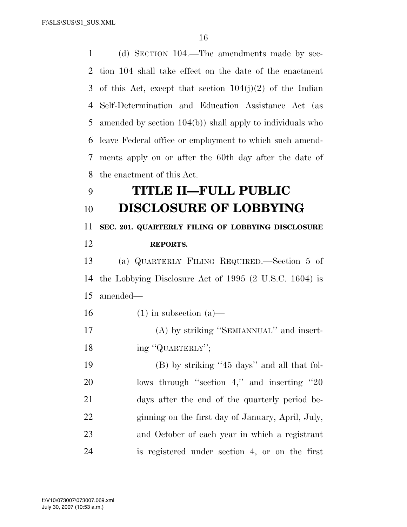(d) SECTION 104.—The amendments made by sec- tion 104 shall take effect on the date of the enactment 3 of this Act, except that section  $104(j)(2)$  of the Indian Self-Determination and Education Assistance Act (as amended by section 104(b)) shall apply to individuals who leave Federal office or employment to which such amend- ments apply on or after the 60th day after the date of the enactment of this Act.

# **TITLE II—FULL PUBLIC DISCLOSURE OF LOBBYING**

# **SEC. 201. QUARTERLY FILING OF LOBBYING DISCLOSURE REPORTS.**

 (a) QUARTERLY FILING REQUIRED.—Section 5 of the Lobbying Disclosure Act of 1995 (2 U.S.C. 1604) is amended—

16 (1) in subsection  $(a)$ —

 (A) by striking ''SEMIANNUAL'' and insert-18 ing "QUARTERLY";

 (B) by striking ''45 days'' and all that fol-20 lows through "section 4," and inserting "20 days after the end of the quarterly period be- ginning on the first day of January, April, July, and October of each year in which a registrant is registered under section 4, or on the first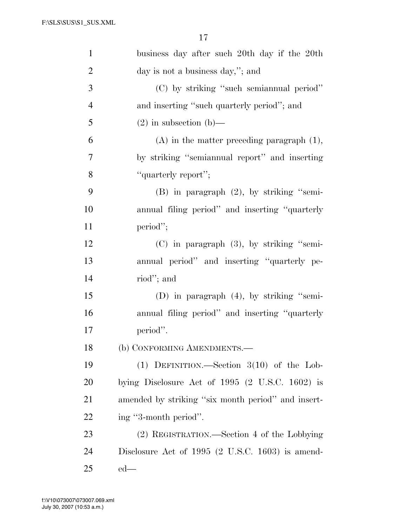| $\mathbf{1}$   | business day after such 20th day if the 20th       |
|----------------|----------------------------------------------------|
| $\overline{2}$ | day is not a business day,"; and                   |
| 3              | (C) by striking "such semiannual period"           |
| $\overline{4}$ | and inserting "such quarterly period"; and         |
| 5              | $(2)$ in subsection (b)—                           |
| 6              | $(A)$ in the matter preceding paragraph $(1)$ ,    |
| 7              | by striking "semiannual report" and inserting      |
| 8              | "quarterly report";                                |
| 9              | $(B)$ in paragraph $(2)$ , by striking "semi-      |
| 10             | annual filing period" and inserting "quarterly     |
| 11             | period";                                           |
| 12             | $(C)$ in paragraph $(3)$ , by striking "semi-      |
| 13             | annual period" and inserting "quarterly pe-        |
| 14             | riod"; and                                         |
| 15             | (D) in paragraph $(4)$ , by striking "semi-        |
| 16             | annual filing period" and inserting "quarterly     |
| 17             | period".                                           |
| 18             | (b) CONFORMING AMENDMENTS.-                        |
| 19             | (1) DEFINITION.—Section $3(10)$ of the Lob-        |
| 20             | bying Disclosure Act of $1995$ (2 U.S.C. 1602) is  |
| 21             | amended by striking "six month period" and insert- |
| 22             | ing "3-month period".                              |
| 23             | (2) REGISTRATION.—Section 4 of the Lobbying        |
| 24             | Disclosure Act of $1995$ (2 U.S.C. 1603) is amend- |
| 25             | $ed$ —                                             |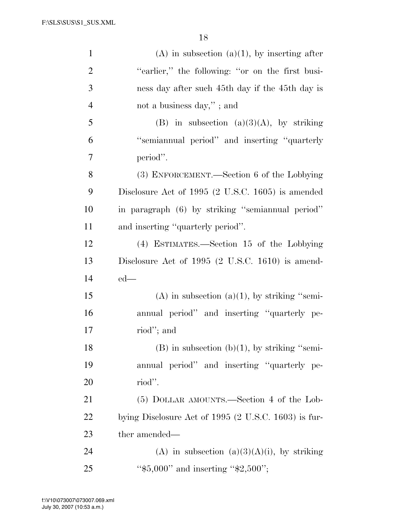| $\mathbf{1}$   | $(A)$ in subsection $(a)(1)$ , by inserting after      |
|----------------|--------------------------------------------------------|
| $\overline{2}$ | "earlier," the following: "or on the first busi-       |
| 3              | ness day after such 45th day if the 45th day is        |
| $\overline{4}$ | not a business day,"; and                              |
| 5              | (B) in subsection (a)(3)(A), by striking               |
| 6              | "semiannual period" and inserting "quarterly           |
| 7              | period".                                               |
| 8              | (3) ENFORCEMENT.—Section 6 of the Lobbying             |
| 9              | Disclosure Act of 1995 (2 U.S.C. 1605) is amended      |
| 10             | in paragraph (6) by striking "semiannual period"       |
| 11             | and inserting "quarterly period".                      |
| 12             | (4) ESTIMATES.—Section 15 of the Lobbying              |
| 13             | Disclosure Act of $1995$ (2 U.S.C. 1610) is amend-     |
| 14             | $ed$ —                                                 |
| 15             | $(A)$ in subsection $(a)(1)$ , by striking "semi-      |
| 16             | annual period" and inserting "quarterly pe-            |
| 17             | riod"; and                                             |
| 18             | $(B)$ in subsection $(b)(1)$ , by striking "semi-      |
| 19             | annual period" and inserting "quarterly pe-            |
| 20             | riod".                                                 |
| 21             | (5) DOLLAR AMOUNTS.—Section 4 of the Lob-              |
| 22             | bying Disclosure Act of $1995$ (2 U.S.C. 1603) is fur- |
| 23             | ther amended—                                          |
| 24             | (A) in subsection $(a)(3)(A)(i)$ , by striking         |
| 25             | " $$5,000"$ and inserting " $$2,500"$ ;                |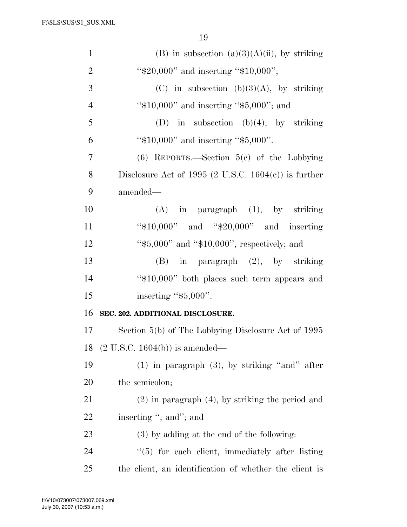| $\mathbf{1}$   | (B) in subsection $(a)(3)(A)(ii)$ , by striking        |
|----------------|--------------------------------------------------------|
| $\overline{2}$ | " $$20,000"$ and inserting " $$10,000"$ ;              |
| 3              | (C) in subsection (b)(3)(A), by striking               |
| $\overline{4}$ | " $$10,000"$ and inserting " $$5,000"$ ; and           |
| 5              | (D) in subsection (b)(4), by striking                  |
| 6              | " $$10,000"$ and inserting " $$5,000"$ .               |
| 7              | $(6)$ REPORTS.—Section 5(c) of the Lobbying            |
| 8              | Disclosure Act of 1995 (2 U.S.C. 1604(c)) is further   |
| 9              | amended—                                               |
| 10             | $(A)$ in paragraph $(1)$ , by striking                 |
| 11             | " $$10,000"$ and " $$20,000"$ and inserting"           |
| 12             | " $$5,000"$ and " $$10,000"$ , respectively; and       |
| 13             | $(B)$ in paragraph $(2)$ , by striking                 |
| 14             | "\$10,000" both places such term appears and           |
| 15             | inserting " $$5,000$ ".                                |
| 16             | SEC. 202. ADDITIONAL DISCLOSURE.                       |
| 17             | Section $5(b)$ of The Lobbying Disclosure Act of 1995  |
| 18             | $(2 U.S.C. 1604(b))$ is amended—                       |
| 19             | $(1)$ in paragraph $(3)$ , by striking "and" after     |
| 20             | the semicolon;                                         |
| 21             | $(2)$ in paragraph $(4)$ , by striking the period and  |
| <u>22</u>      | inserting "; and"; and                                 |
| 23             | $(3)$ by adding at the end of the following:           |
| 24             | $\lq(5)$ for each client, immediately after listing    |
| 25             | the client, an identification of whether the client is |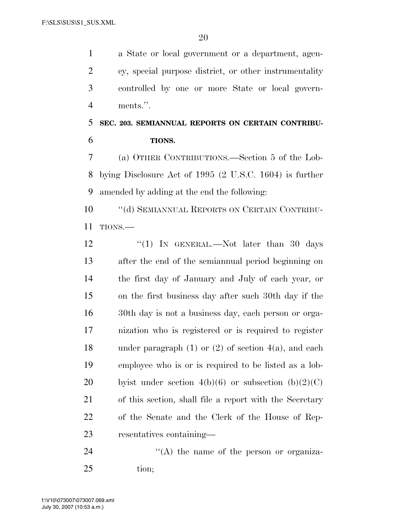a State or local government or a department, agen- cy, special purpose district, or other instrumentality controlled by one or more State or local govern-ments.''.

# **SEC. 203. SEMIANNUAL REPORTS ON CERTAIN CONTRIBU-TIONS.**

 (a) OTHER CONTRIBUTIONS.—Section 5 of the Lob- bying Disclosure Act of 1995 (2 U.S.C. 1604) is further amended by adding at the end the following:

 ''(d) SEMIANNUAL REPORTS ON CERTAIN CONTRIBU-TIONS.—

12 "(1) In GENERAL.—Not later than 30 days after the end of the semiannual period beginning on the first day of January and July of each year, or on the first business day after such 30th day if the 30th day is not a business day, each person or orga- nization who is registered or is required to register under paragraph (1) or (2) of section 4(a), and each employee who is or is required to be listed as a lob-20 by bythe under section  $4(b)(6)$  or subsection  $(b)(2)(C)$  of this section, shall file a report with the Secretary of the Senate and the Clerk of the House of Rep-resentatives containing—

24  $\langle (A)$  the name of the person or organiza-tion;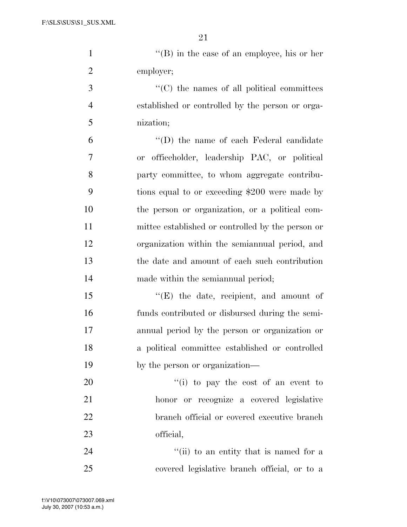1 ''(B) in the case of an employee, his or her employer;

 ''(C) the names of all political committees established or controlled by the person or orga-nization;

 ''(D) the name of each Federal candidate or officeholder, leadership PAC, or political party committee, to whom aggregate contribu- tions equal to or exceeding \$200 were made by the person or organization, or a political com- mittee established or controlled by the person or organization within the semiannual period, and the date and amount of each such contribution made within the semiannual period;

15 "(E) the date, recipient, and amount of funds contributed or disbursed during the semi- annual period by the person or organization or a political committee established or controlled by the person or organization—

 $\frac{1}{1}$  to pay the cost of an event to honor or recognize a covered legislative branch official or covered executive branch official,

24 ''(ii) to an entity that is named for a covered legislative branch official, or to a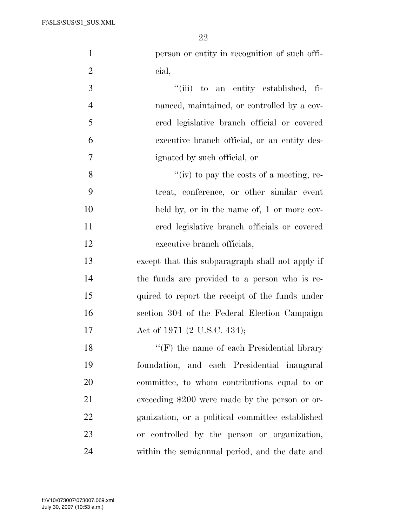| $\mathbf{1}$   | person or entity in recognition of such offi-      |
|----------------|----------------------------------------------------|
| $\overline{2}$ | cial,                                              |
| 3              | "(iii) to an entity established, fi-               |
| $\overline{4}$ | nanced, maintained, or controlled by a cov-        |
| 5              | ered legislative branch official or covered        |
| 6              | executive branch official, or an entity des-       |
| 7              | ignated by such official, or                       |
| 8              | "(iv) to pay the costs of a meeting, re-           |
| 9              | treat, conference, or other similar event          |
| 10             | held by, or in the name of, 1 or more cov-         |
| 11             | ered legislative branch officials or covered       |
| 12             | executive branch officials,                        |
| 13             | except that this subparagraph shall not apply if   |
| 14             | the funds are provided to a person who is re-      |
| 15             | quired to report the receipt of the funds under    |
| 16             | section 304 of the Federal Election Campaign       |
| 17             | Act of 1971 (2 U.S.C. 434);                        |
| 18             | $\lq\lq (F)$ the name of each Presidential library |
| 19             | foundation, and each Presidential inaugural        |
| 20             | committee, to whom contributions equal to or       |
| 21             | exceeding \$200 were made by the person or or-     |
| 22             | ganization, or a political committee established   |
| 23             | or controlled by the person or organization,       |
| 24             | within the semiannual period, and the date and     |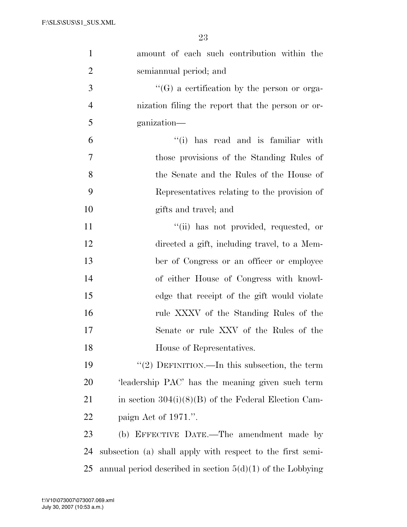| $\mathbf{1}$   | amount of each such contribution within the                  |
|----------------|--------------------------------------------------------------|
| $\overline{2}$ | semiannual period; and                                       |
| 3              | $\lq\lq(G)$ a certification by the person or orga-           |
| $\overline{4}$ | nization filing the report that the person or or-            |
| 5              | ganization—                                                  |
| 6              | "(i) has read and is familiar with                           |
| 7              | those provisions of the Standing Rules of                    |
| 8              | the Senate and the Rules of the House of                     |
| 9              | Representatives relating to the provision of                 |
| 10             | gifts and travel; and                                        |
| 11             | "(ii) has not provided, requested, or                        |
| 12             | directed a gift, including travel, to a Mem-                 |
| 13             | ber of Congress or an officer or employee                    |
| 14             | of either House of Congress with knowl-                      |
| 15             | edge that receipt of the gift would violate                  |
| 16             | rule XXXV of the Standing Rules of the                       |
| 17             | Senate or rule XXV of the Rules of the                       |
| 18             | House of Representatives.                                    |
| 19             | "(2) DEFINITION.—In this subsection, the term                |
| 20             | 'leadership PAC' has the meaning given such term             |
| 21             | in section $304(i)(8)(B)$ of the Federal Election Cam-       |
| 22             | paign Act of 1971.".                                         |
| 23             | (b) EFFECTIVE DATE.—The amendment made by                    |
| 24             | subsection (a) shall apply with respect to the first semi-   |
| 25             | annual period described in section $5(d)(1)$ of the Lobbying |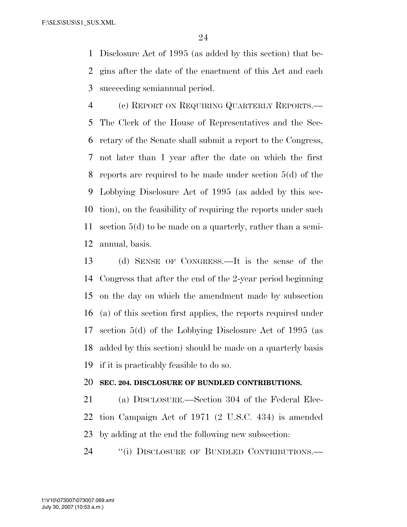Disclosure Act of 1995 (as added by this section) that be- gins after the date of the enactment of this Act and each succeeding semiannual period.

 (c) REPORT ON REQUIRING QUARTERLY REPORTS.— The Clerk of the House of Representatives and the Sec- retary of the Senate shall submit a report to the Congress, not later than 1 year after the date on which the first reports are required to be made under section 5(d) of the Lobbying Disclosure Act of 1995 (as added by this sec- tion), on the feasibility of requiring the reports under such section 5(d) to be made on a quarterly, rather than a semi-annual, basis.

 (d) SENSE OF CONGRESS.—It is the sense of the Congress that after the end of the 2-year period beginning on the day on which the amendment made by subsection (a) of this section first applies, the reports required under section 5(d) of the Lobbying Disclosure Act of 1995 (as added by this section) should be made on a quarterly basis if it is practicably feasible to do so.

## **SEC. 204. DISCLOSURE OF BUNDLED CONTRIBUTIONS.**

 (a) DISCLOSURE.—Section 304 of the Federal Elec- tion Campaign Act of 1971 (2 U.S.C. 434) is amended by adding at the end the following new subsection:

24 "(i) DISCLOSURE OF BUNDLED CONTRIBUTIONS.—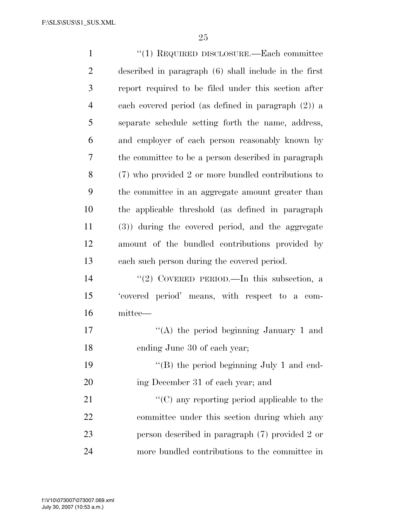| $\mathbf{1}$   | "(1) REQUIRED DISCLOSURE.—Each committee               |
|----------------|--------------------------------------------------------|
| $\overline{2}$ | described in paragraph (6) shall include in the first  |
| 3              | report required to be filed under this section after   |
| $\overline{4}$ | each covered period (as defined in paragraph $(2)$ ) a |
| 5              | separate schedule setting forth the name, address,     |
| 6              | and employer of each person reasonably known by        |
| 7              | the committee to be a person described in paragraph    |
| 8              | (7) who provided 2 or more bundled contributions to    |
| 9              | the committee in an aggregate amount greater than      |
| 10             | the applicable threshold (as defined in paragraph      |
| 11             | (3)) during the covered period, and the aggregate      |
| 12             | amount of the bundled contributions provided by        |
| 13             | each such person during the covered period.            |
| 14             | "(2) COVERED PERIOD.—In this subsection, a             |
| 15             | 'covered period' means, with respect to a com-         |
| 16             | mittee—                                                |
| 17             | "(A) the period beginning January 1 and                |
| 18             | ending June 30 of each year;                           |
| 19             | "(B) the period beginning July 1 and end-              |
| 20             | ing December 31 of each year; and                      |
| 21             | $\lq\lq$ (C) any reporting period applicable to the    |
| 22             | committee under this section during which any          |
| 23             | person described in paragraph (7) provided 2 or        |
| 24             | more bundled contributions to the committee in         |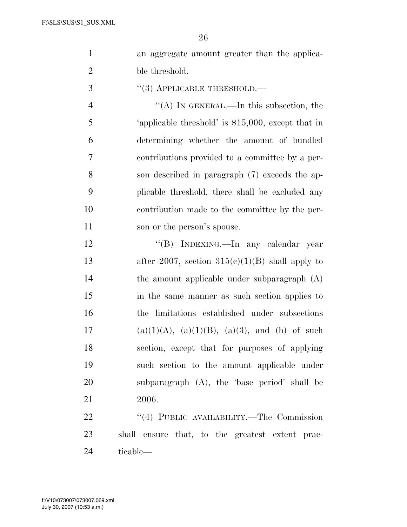|  | an aggregate amount greater than the applica- |  |  |  |
|--|-----------------------------------------------|--|--|--|
|  | ble threshold.                                |  |  |  |

''(3) APPLICABLE THRESHOLD.—

4 ''(A) IN GENERAL.—In this subsection, the 'applicable threshold' is \$15,000, except that in determining whether the amount of bundled contributions provided to a committee by a per- son described in paragraph (7) exceeds the ap- plicable threshold, there shall be excluded any contribution made to the committee by the per-11 son or the person's spouse.

12 "(B) INDEXING.—In any calendar year 13 after 2007, section  $315(c)(1)(B)$  shall apply to the amount applicable under subparagraph (A) in the same manner as such section applies to the limitations established under subsections 17 (a)(1)(A), (a)(1)(B), (a)(3), and (h) of such section, except that for purposes of applying such section to the amount applicable under subparagraph (A), the 'base period' shall be 2006.

22 "(4) PUBLIC AVAILABILITY.—The Commission shall ensure that, to the greatest extent prac-ticable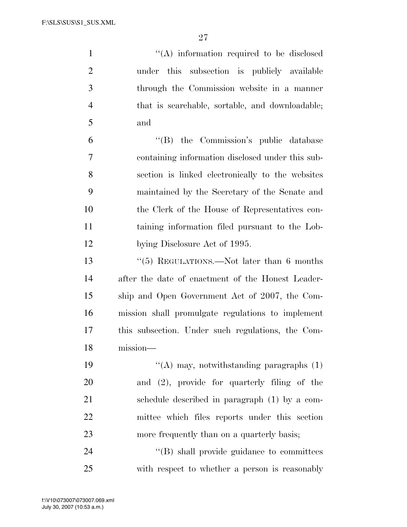F:\SLS\SUS\S1\_SUS.XML

 $\langle (A) \rangle$  information required to be disclosed under this subsection is publicly available through the Commission website in a manner that is searchable, sortable, and downloadable; and

 ''(B) the Commission's public database containing information disclosed under this sub- section is linked electronically to the websites maintained by the Secretary of the Senate and the Clerk of the House of Representatives con- taining information filed pursuant to the Lob-12 bying Disclosure Act of 1995.

 ''(5) REGULATIONS.—Not later than 6 months after the date of enactment of the Honest Leader- ship and Open Government Act of 2007, the Com- mission shall promulgate regulations to implement this subsection. Under such regulations, the Com-mission—

 $\langle (A)$  may, notwithstanding paragraphs (1) and (2), provide for quarterly filing of the schedule described in paragraph (1) by a com- mittee which files reports under this section 23 more frequently than on a quarterly basis;

24  $\langle$ <sup>"</sup>(B) shall provide guidance to committees with respect to whether a person is reasonably

July 30, 2007 (10:53 a.m.) f:\V10\073007\073007.069.xml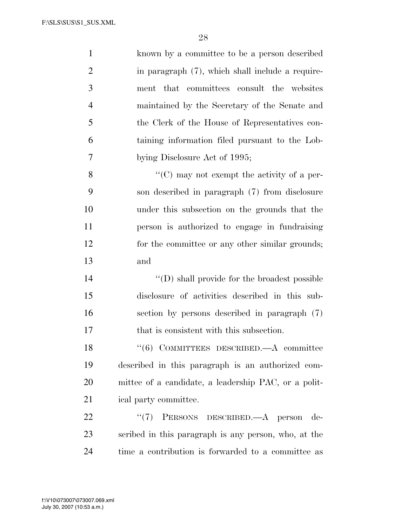| $\mathbf{1}$   | known by a committee to be a person described        |
|----------------|------------------------------------------------------|
| $\overline{2}$ | in paragraph (7), which shall include a require-     |
| 3              | ment that committees consult the websites            |
| $\overline{4}$ | maintained by the Secretary of the Senate and        |
| 5              | the Clerk of the House of Representatives con-       |
| 6              | taining information filed pursuant to the Lob-       |
| $\tau$         | bying Disclosure Act of 1995;                        |
| 8              | $\lq\lq$ (C) may not exempt the activity of a per-   |
| 9              | son described in paragraph (7) from disclosure       |
| 10             | under this subsection on the grounds that the        |
| 11             | person is authorized to engage in fundraising        |
| 12             | for the committee or any other similar grounds;      |
| 13             | and                                                  |
| 14             | $\lq\lq$ (D) shall provide for the broadest possible |
| 15             | disclosure of activities described in this sub-      |
| 16             | section by persons described in paragraph (7)        |
| 17             | that is consistent with this subsection.             |
| 18             | $``(6)$ COMMITTEES DESCRIBED.—A committee            |
| 19             | described in this paragraph is an authorized com-    |
| 20             | mittee of a candidate, a leadership PAC, or a polit- |
| 21             | ical party committee.                                |
| 22             | PERSONS DESCRIBED.- A person de-<br>(5(7))           |
| 23             | scribed in this paragraph is any person, who, at the |
|                |                                                      |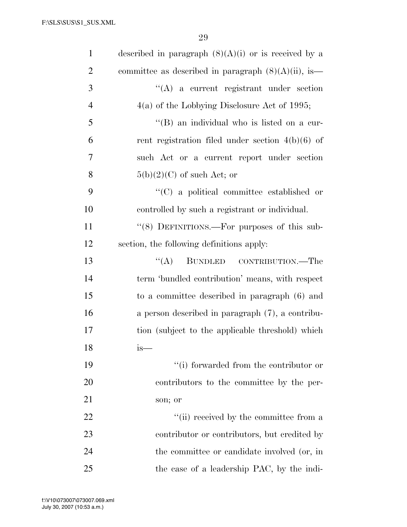| $\mathbf{1}$   | described in paragraph $(8)(A)(i)$ or is received by a  |
|----------------|---------------------------------------------------------|
| $\overline{2}$ | committee as described in paragraph $(8)(A)(ii)$ , is   |
| 3              | $\lq\lq$ a current registrant under section             |
| $\overline{4}$ | $4(a)$ of the Lobbying Disclosure Act of 1995;          |
| 5              | "(B) an individual who is listed on a cur-              |
| 6              | rent registration filed under section $4(b)(6)$ of      |
| 7              | such Act or a current report under section              |
| 8              | $5(b)(2)(C)$ of such Act; or                            |
| 9              | "(C) a political committee established or               |
| 10             | controlled by such a registrant or individual.          |
| 11             | $\cdot\cdot$ (8) DEFINITIONS.—For purposes of this sub- |
| 12             | section, the following definitions apply:               |
| 13             | $\lq\lq (A)$<br>BUNDLED CONTRIBUTION.—The               |
| 14             | term 'bundled contribution' means, with respect         |
| 15             | to a committee described in paragraph (6) and           |
| 16             | a person described in paragraph $(7)$ , a contribu-     |
| 17             | tion (subject to the applicable threshold) which        |
| 18             | is—                                                     |
| 19             | "(i) forwarded from the contributor or                  |
| 20             | contributors to the committee by the per-               |
| 21             | son; or                                                 |
| 22             | "(ii) received by the committee from a                  |
| 23             | contributor or contributors, but credited by            |
| 24             | the committee or candidate involved (or, in             |
| 25             | the case of a leadership PAC, by the indi-              |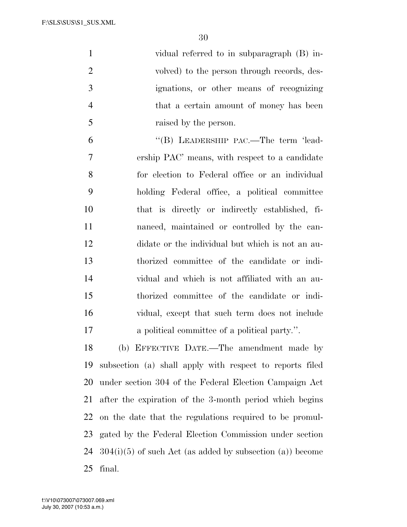F:\SLS\SUS\S1\_SUS.XML

| $\mathbf{1}$   | vidual referred to in subparagraph (B) in-                  |
|----------------|-------------------------------------------------------------|
| $\overline{2}$ | volved) to the person through records, des-                 |
| 3              | ignations, or other means of recognizing                    |
| $\overline{4}$ | that a certain amount of money has been                     |
| 5              | raised by the person.                                       |
| 6              | "(B) LEADERSHIP PAC.—The term 'lead-                        |
| 7              | ership PAC' means, with respect to a candidate              |
| 8              | for election to Federal office or an individual             |
| 9              | holding Federal office, a political committee               |
| 10             | that is directly or indirectly established, fi-             |
| 11             | nanced, maintained or controlled by the can-                |
| 12             | didate or the individual but which is not an au-            |
| 13             | thorized committee of the candidate or indi-                |
| 14             | vidual and which is not affiliated with an au-              |
| 15             | thorized committee of the candidate or indi-                |
| 16             | vidual, except that such term does not include              |
| 17             | a political committee of a political party.".               |
| 18             | (b) EFFECTIVE DATE.—The amendment made by                   |
| 19             | subsection (a) shall apply with respect to reports filed    |
| 20             | under section 304 of the Federal Election Campaign Act      |
| 21             | after the expiration of the 3-month period which begins     |
| 22             | on the date that the regulations required to be promul-     |
| 23             | gated by the Federal Election Commission under section      |
| 24             | $304(i)(5)$ of such Act (as added by subsection (a)) become |

July 30, 2007 (10:53 a.m.) f:\V10\073007\073007.069.xml

final.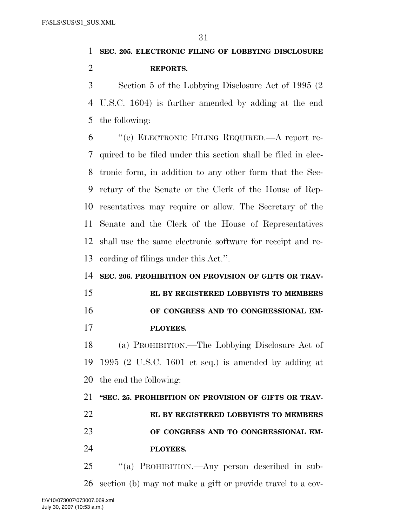# **SEC. 205. ELECTRONIC FILING OF LOBBYING DISCLOSURE REPORTS.**

 Section 5 of the Lobbying Disclosure Act of 1995 (2 U.S.C. 1604) is further amended by adding at the end the following:

 ''(e) ELECTRONIC FILING REQUIRED.—A report re- quired to be filed under this section shall be filed in elec- tronic form, in addition to any other form that the Sec- retary of the Senate or the Clerk of the House of Rep- resentatives may require or allow. The Secretary of the Senate and the Clerk of the House of Representatives shall use the same electronic software for receipt and re-cording of filings under this Act.''.

# **SEC. 206. PROHIBITION ON PROVISION OF GIFTS OR TRAV-**

 **EL BY REGISTERED LOBBYISTS TO MEMBERS OF CONGRESS AND TO CONGRESSIONAL EM-PLOYEES.** 

 (a) PROHIBITION.—The Lobbying Disclosure Act of 1995 (2 U.S.C. 1601 et seq.) is amended by adding at the end the following:

# **''SEC. 25. PROHIBITION ON PROVISION OF GIFTS OR TRAV- EL BY REGISTERED LOBBYISTS TO MEMBERS OF CONGRESS AND TO CONGRESSIONAL EM-PLOYEES.**

 ''(a) PROHIBITION.—Any person described in sub-section (b) may not make a gift or provide travel to a cov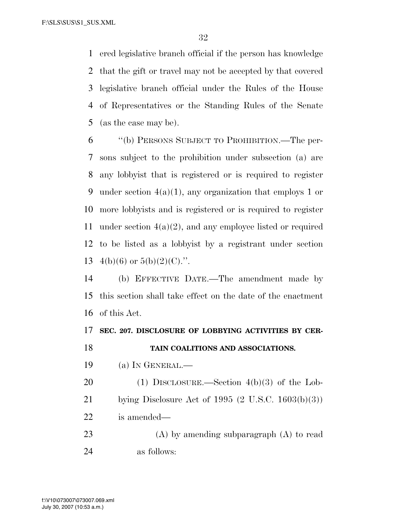F:\SLS\SUS\S1\_SUS.XML

 ered legislative branch official if the person has knowledge that the gift or travel may not be accepted by that covered legislative branch official under the Rules of the House of Representatives or the Standing Rules of the Senate (as the case may be).

 ''(b) PERSONS SUBJECT TO PROHIBITION.—The per- sons subject to the prohibition under subsection (a) are any lobbyist that is registered or is required to register 9 under section  $4(a)(1)$ , any organization that employs 1 or more lobbyists and is registered or is required to register under section 4(a)(2), and any employee listed or required to be listed as a lobbyist by a registrant under section 13 4(b)(6) or  $5(b)(2)(C)$ .".

 (b) EFFECTIVE DATE.—The amendment made by this section shall take effect on the date of the enactment of this Act.

## **SEC. 207. DISCLOSURE OF LOBBYING ACTIVITIES BY CER-**

**TAIN COALITIONS AND ASSOCIATIONS.** 

(a) IN GENERAL.—

 (1) DISCLOSURE.—Section 4(b)(3) of the Lob- bying Disclosure Act of 1995 (2 U.S.C. 1603(b)(3)) is amended—

 (A) by amending subparagraph (A) to read as follows:

July 30, 2007 (10:53 a.m.) f:\V10\073007\073007.069.xml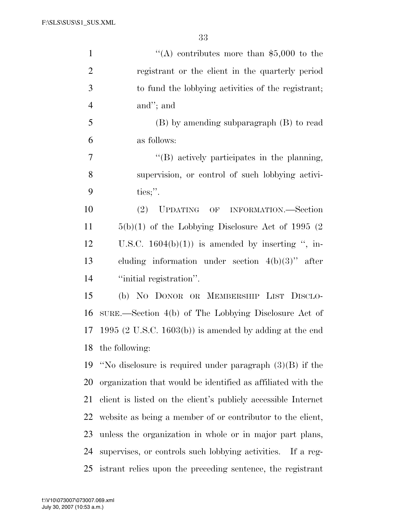F:\SLS\SUS\S1\_SUS.XML

| $\mathbf{1}$   | "(A) contributes more than \$5,000 to the                     |
|----------------|---------------------------------------------------------------|
| $\overline{2}$ | registrant or the client in the quarterly period              |
| 3              | to fund the lobbying activities of the registrant;            |
| $\overline{4}$ | and"; and                                                     |
| 5              | (B) by amending subparagraph (B) to read                      |
| 6              | as follows:                                                   |
| 7              | "(B) actively participates in the planning,                   |
| 8              | supervision, or control of such lobbying activi-              |
| 9              | ties;".                                                       |
| 10             | UPDATING OF INFORMATION.—Section<br>(2)                       |
| 11             | $5(b)(1)$ of the Lobbying Disclosure Act of 1995 (2)          |
| 12             | U.S.C. $1604(b)(1)$ is amended by inserting ", in-            |
| 13             | cluding information under section $4(b)(3)$ " after           |
| 14             | "initial registration".                                       |
| 15             | (b) NO DONOR OR MEMBERSHIP LIST DISCLO-                       |
| 16             | SURE.—Section 4(b) of The Lobbying Disclosure Act of          |
| 17             | 1995 (2 U.S.C. 1603(b)) is amended by adding at the end       |
| 18             | the following:                                                |
| 19             | "No disclosure is required under paragraph $(3)(B)$ if the    |
| <b>20</b>      | organization that would be identified as affiliated with the  |
| 21             | client is listed on the client's publicly accessible Internet |
| 22             | website as being a member of or contributor to the client,    |
| 23             | unless the organization in whole or in major part plans,      |
| 24             | supervises, or controls such lobbying activities. If a reg-   |
| 25             | istrant relies upon the preceding sentence, the registrant    |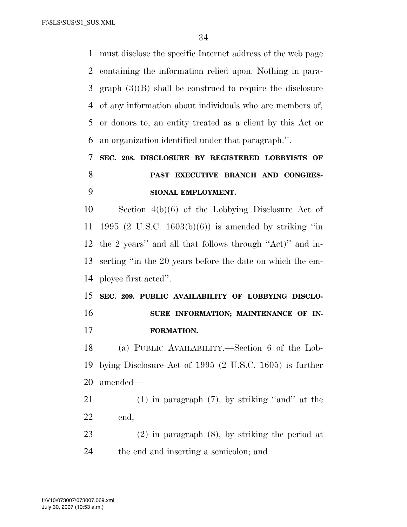must disclose the specific Internet address of the web page containing the information relied upon. Nothing in para- graph (3)(B) shall be construed to require the disclosure of any information about individuals who are members of, or donors to, an entity treated as a client by this Act or an organization identified under that paragraph.''.

# **SEC. 208. DISCLOSURE BY REGISTERED LOBBYISTS OF PAST EXECUTIVE BRANCH AND CONGRES-SIONAL EMPLOYMENT.**

 Section 4(b)(6) of the Lobbying Disclosure Act of 1995 (2 U.S.C. 1603(b)(6)) is amended by striking ''in the 2 years'' and all that follows through ''Act)'' and in- serting ''in the 20 years before the date on which the em-ployee first acted''.

 **SEC. 209. PUBLIC AVAILABILITY OF LOBBYING DISCLO-SURE INFORMATION; MAINTENANCE OF IN-FORMATION.** 

 (a) PUBLIC AVAILABILITY.—Section 6 of the Lob- bying Disclosure Act of 1995 (2 U.S.C. 1605) is further amended—

 (1) in paragraph (7), by striking ''and'' at the end;

 (2) in paragraph (8), by striking the period at the end and inserting a semicolon; and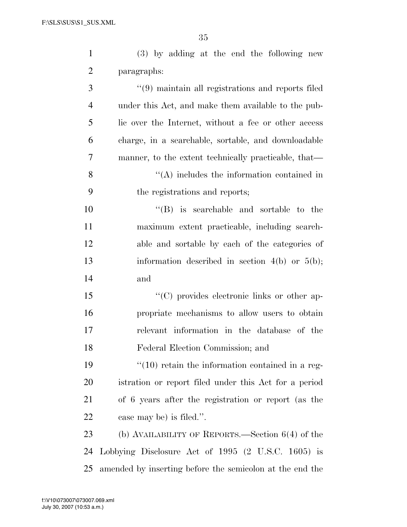| $\mathbf{1}$   | (3) by adding at the end the following new               |
|----------------|----------------------------------------------------------|
| $\overline{2}$ | paragraphs:                                              |
| 3              | $\cdot$ (9) maintain all registrations and reports filed |
| $\overline{4}$ | under this Act, and make them available to the pub-      |
| 5              | lic over the Internet, without a fee or other access     |
| 6              | charge, in a searchable, sortable, and downloadable      |
| 7              | manner, to the extent technically practicable, that—     |
| 8              | $\lq\lq$ includes the information contained in           |
| 9              | the registrations and reports;                           |
| 10             | $\lq\lq$ is searchable and sortable to the               |
| 11             | maximum extent practicable, including search-            |
| 12             | able and sortable by each of the categories of           |
| 13             | information described in section $4(b)$ or $5(b)$ ;      |
| 14             | and                                                      |
| 15             | "(C) provides electronic links or other ap-              |
| 16             | propriate mechanisms to allow users to obtain            |
| 17             | relevant information in the database of the              |
| 18             | Federal Election Commission; and                         |
| 19             | $\lq(10)$ retain the information contained in a reg-     |
| 20             | istration or report filed under this Act for a period    |
| 21             | of 6 years after the registration or report (as the      |
| 22             | case may be) is filed.".                                 |
| 23             | (b) AVAILABILITY OF REPORTS.—Section $6(4)$ of the       |
| 24             | Lobbying Disclosure Act of 1995 (2 U.S.C. 1605) is       |

amended by inserting before the semicolon at the end the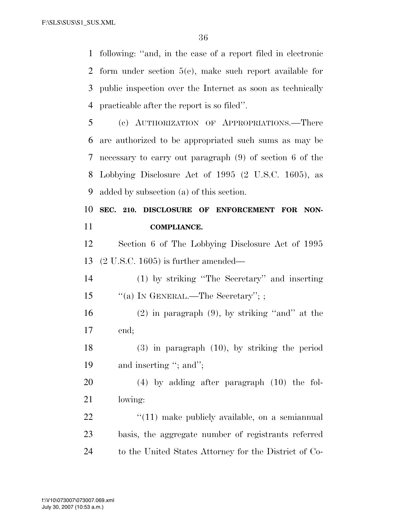following: ''and, in the case of a report filed in electronic form under section 5(e), make such report available for public inspection over the Internet as soon as technically practicable after the report is so filed''.

 (c) AUTHORIZATION OF APPROPRIATIONS.—There are authorized to be appropriated such sums as may be necessary to carry out paragraph (9) of section 6 of the Lobbying Disclosure Act of 1995 (2 U.S.C. 1605), as added by subsection (a) of this section.

 **SEC. 210. DISCLOSURE OF ENFORCEMENT FOR NON-COMPLIANCE.** 

 Section 6 of The Lobbying Disclosure Act of 1995 (2 U.S.C. 1605) is further amended—

 (1) by striking ''The Secretary'' and inserting 15 "(a) IN GENERAL.—The Secretary"; ;

 (2) in paragraph (9), by striking ''and'' at the end;

 (3) in paragraph (10), by striking the period 19 and inserting "; and";

 (4) by adding after paragraph (10) the fol-lowing:

  $\qquad$   $\qquad$   $\qquad$   $\qquad$   $\qquad$   $\qquad$   $\qquad$   $\qquad$   $\qquad$   $\qquad$   $\qquad$   $\qquad$   $\qquad$   $\qquad$   $\qquad$   $\qquad$   $\qquad$   $\qquad$   $\qquad$   $\qquad$   $\qquad$   $\qquad$   $\qquad$   $\qquad$   $\qquad$   $\qquad$   $\qquad$   $\qquad$   $\qquad$   $\qquad$   $\qquad$   $\qquad$   $\qquad$   $\qquad$   $\qquad$   $\qquad$  basis, the aggregate number of registrants referred to the United States Attorney for the District of Co-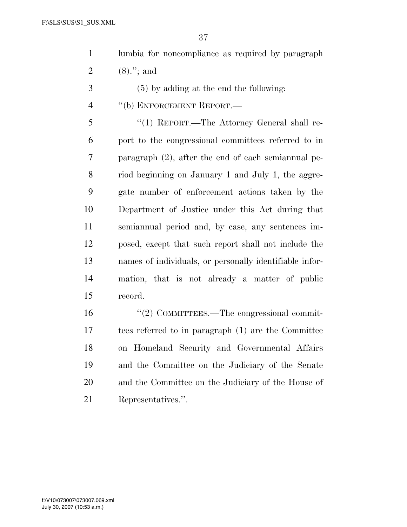| lumbia for noncompliance as required by paragraph |
|---------------------------------------------------|
| 2 $(8)$ ."; and                                   |

- (5) by adding at the end the following:
- ''(b) ENFORCEMENT REPORT.—

 ''(1) REPORT.—The Attorney General shall re- port to the congressional committees referred to in paragraph (2), after the end of each semiannual pe- riod beginning on January 1 and July 1, the aggre- gate number of enforcement actions taken by the Department of Justice under this Act during that semiannual period and, by case, any sentences im- posed, except that such report shall not include the names of individuals, or personally identifiable infor- mation, that is not already a matter of public record.

 $\frac{1}{2}$  COMMITTEES.—The congressional commit- tees referred to in paragraph (1) are the Committee on Homeland Security and Governmental Affairs and the Committee on the Judiciary of the Senate and the Committee on the Judiciary of the House of Representatives.''.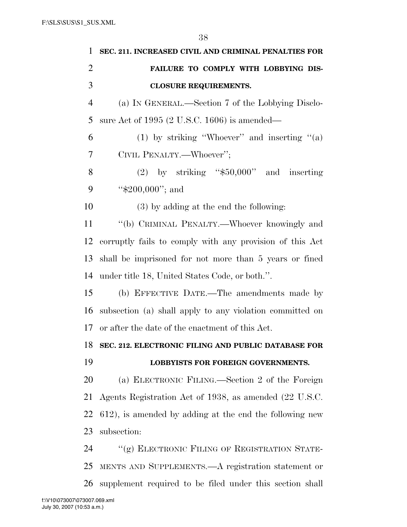| 1              | SEC. 211. INCREASED CIVIL AND CRIMINAL PENALTIES FOR     |
|----------------|----------------------------------------------------------|
| $\overline{2}$ | FAILURE TO COMPLY WITH LOBBYING DIS-                     |
| 3              | <b>CLOSURE REQUIREMENTS.</b>                             |
| $\overline{4}$ | (a) IN GENERAL.—Section 7 of the Lobbying Disclo-        |
| 5              | sure Act of 1995 (2 U.S.C. 1606) is amended—             |
| 6              | (1) by striking "Whoever" and inserting " $(a)$          |
| 7              | CIVIL PENALTY.—Whoever";                                 |
| 8              | $(2)$ by striking "\$50,000" and inserting               |
| 9              | " $$200,000"$ ; and                                      |
| 10             | $(3)$ by adding at the end the following:                |
| 11             | "(b) CRIMINAL PENALTY.—Whoever knowingly and             |
| 12             | corruptly fails to comply with any provision of this Act |
| 13             | shall be imprisoned for not more than 5 years or fined   |
| 14             | under title 18, United States Code, or both.".           |
| 15             | (b) EFFECTIVE DATE.—The amendments made by               |
| 16             | subsection (a) shall apply to any violation committed on |
| 17             | or after the date of the enactment of this Act.          |
| 18             | SEC. 212. ELECTRONIC FILING AND PUBLIC DATABASE FOR      |
| 19             | LOBBYISTS FOR FOREIGN GOVERNMENTS.                       |
| 20             | (a) ELECTRONIC FILING.—Section 2 of the Foreign          |
| 21             | Agents Registration Act of 1938, as amended (22 U.S.C.   |
| 22             | 612), is amended by adding at the end the following new  |
| 23             | subsection:                                              |
| 24             | "(g) ELECTRONIC FILING OF REGISTRATION STATE-            |
| 25             | MENTS AND SUPPLEMENTS.—A registration statement or       |
| <b>26</b>      | supplement required to be filed under this section shall |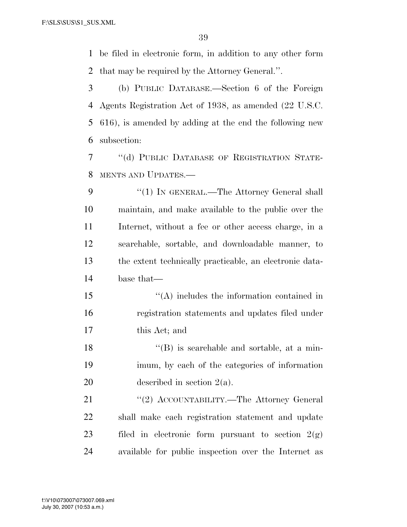be filed in electronic form, in addition to any other form that may be required by the Attorney General.''.

 (b) PUBLIC DATABASE.—Section 6 of the Foreign Agents Registration Act of 1938, as amended (22 U.S.C. 616), is amended by adding at the end the following new subsection:

 ''(d) PUBLIC DATABASE OF REGISTRATION STATE-MENTS AND UPDATES.—

9 "(1) IN GENERAL.—The Attorney General shall maintain, and make available to the public over the Internet, without a fee or other access charge, in a searchable, sortable, and downloadable manner, to the extent technically practicable, an electronic data-base that—

15  $\langle (A) \rangle$  includes the information contained in registration statements and updates filed under this Act; and

18 ''(B) is searchable and sortable, at a min- imum, by each of the categories of information described in section 2(a).

21 ''(2) ACCOUNTABILITY.—The Attorney General shall make each registration statement and update 23 filed in electronic form pursuant to section  $2(g)$ available for public inspection over the Internet as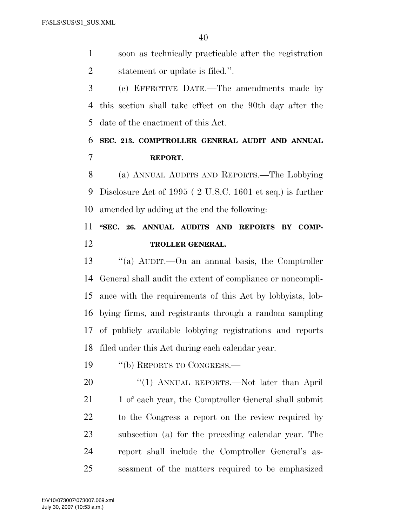soon as technically practicable after the registration statement or update is filed.''.

 (c) EFFECTIVE DATE.—The amendments made by this section shall take effect on the 90th day after the date of the enactment of this Act.

## **SEC. 213. COMPTROLLER GENERAL AUDIT AND ANNUAL REPORT.**

 (a) ANNUAL AUDITS AND REPORTS.—The Lobbying Disclosure Act of 1995 ( 2 U.S.C. 1601 et seq.) is further amended by adding at the end the following:

## **''SEC. 26. ANNUAL AUDITS AND REPORTS BY COMP-TROLLER GENERAL.**

 ''(a) AUDIT.—On an annual basis, the Comptroller General shall audit the extent of compliance or noncompli- ance with the requirements of this Act by lobbyists, lob- bying firms, and registrants through a random sampling of publicly available lobbying registrations and reports filed under this Act during each calendar year.

19 "(b) REPORTS TO CONGRESS.—

20 "(1) ANNUAL REPORTS.—Not later than April 21 1 of each year, the Comptroller General shall submit to the Congress a report on the review required by subsection (a) for the preceding calendar year. The report shall include the Comptroller General's as-sessment of the matters required to be emphasized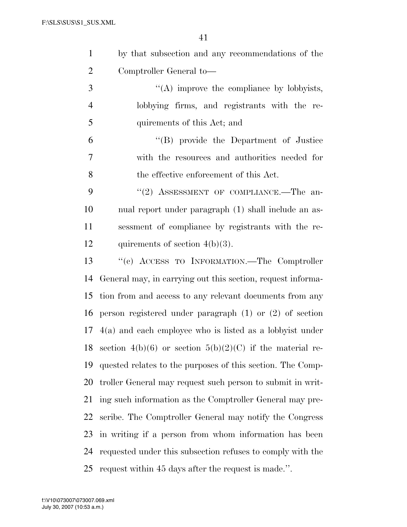| $\mathbf{1}$   | by that subsection and any recommendations of the           |
|----------------|-------------------------------------------------------------|
| $\overline{2}$ | Comptroller General to-                                     |
| 3              | $\lq\lq$ improve the compliance by lobbyists,               |
| $\overline{4}$ | lobbying firms, and registrants with the re-                |
| 5              | quirements of this Act; and                                 |
| 6              | "(B) provide the Department of Justice                      |
| 7              | with the resources and authorities needed for               |
| 8              | the effective enforcement of this Act.                      |
| 9              | "(2) ASSESSMENT OF COMPLIANCE.—The an-                      |
| 10             | nual report under paragraph (1) shall include an as-        |
| 11             | sessment of compliance by registrants with the re-          |
| 12             | quirements of section $4(b)(3)$ .                           |
| 13             | "(c) ACCESS TO INFORMATION.—The Comptroller                 |
| 14             | General may, in carrying out this section, request informa- |
| 15             | tion from and access to any relevant documents from any     |
| 16             | person registered under paragraph $(1)$ or $(2)$ of section |
| 17             | $4(a)$ and each employee who is listed as a lobbyist under  |
| 18             | section 4(b)(6) or section 5(b)(2)(C) if the material re-   |
| 19             | quested relates to the purposes of this section. The Comp-  |
| 20             | troller General may request such person to submit in writ-  |
| 21             | ing such information as the Comptroller General may pre-    |
| 22             | scribe. The Comptroller General may notify the Congress     |
| 23             | in writing if a person from whom information has been       |
| 24             | requested under this subsection refuses to comply with the  |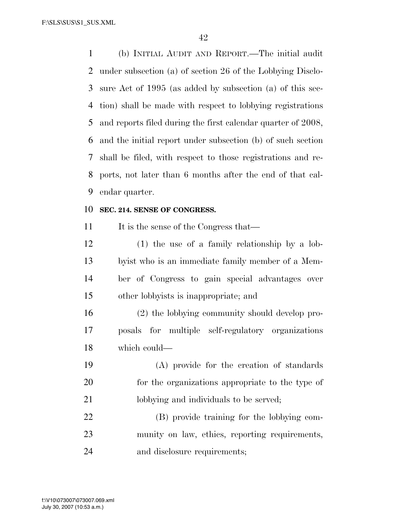(b) INITIAL AUDIT AND REPORT.—The initial audit under subsection (a) of section 26 of the Lobbying Disclo- sure Act of 1995 (as added by subsection (a) of this sec- tion) shall be made with respect to lobbying registrations and reports filed during the first calendar quarter of 2008, and the initial report under subsection (b) of such section shall be filed, with respect to those registrations and re- ports, not later than 6 months after the end of that cal-endar quarter.

#### **SEC. 214. SENSE OF CONGRESS.**

11 It is the sense of the Congress that—

 (1) the use of a family relationship by a lob- byist who is an immediate family member of a Mem- ber of Congress to gain special advantages over other lobbyists is inappropriate; and

 (2) the lobbying community should develop pro- posals for multiple self-regulatory organizations which could—

 (A) provide for the creation of standards for the organizations appropriate to the type of 21 lobbying and individuals to be served;

 (B) provide training for the lobbying com- munity on law, ethics, reporting requirements, and disclosure requirements;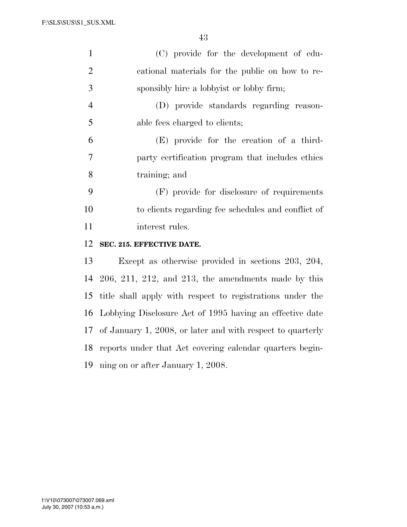| $\mathbf{1}$   | (C) provide for the development of edu-                    |
|----------------|------------------------------------------------------------|
| $\overline{2}$ | cational materials for the public on how to re-            |
| 3              | sponsibly hire a lobbyist or lobby firm;                   |
| $\overline{4}$ | (D) provide standards regarding reason-                    |
| 5              | able fees charged to clients;                              |
| 6              | (E) provide for the creation of a third-                   |
| 7              | party certification program that includes ethics           |
| $8\,$          | training; and                                              |
| 9              | (F) provide for disclosure of requirements                 |
| 10             | to clients regarding fee schedules and conflict of         |
| 11             | interest rules.                                            |
| 12             | SEC. 215. EFFECTIVE DATE.                                  |
| 13             | Except as otherwise provided in sections 203, 204,         |
| 14             | $206, 211, 212,$ and $213$ , the amendments made by this   |
| 15             | title shall apply with respect to registrations under the  |
| 16             | Lobbying Disclosure Act of 1995 having an effective date   |
| 17             | of January 1, 2008, or later and with respect to quarterly |
| 18             | reports under that Act covering calendar quarters begin-   |
|                | 19 ning on or after January 1, 2008.                       |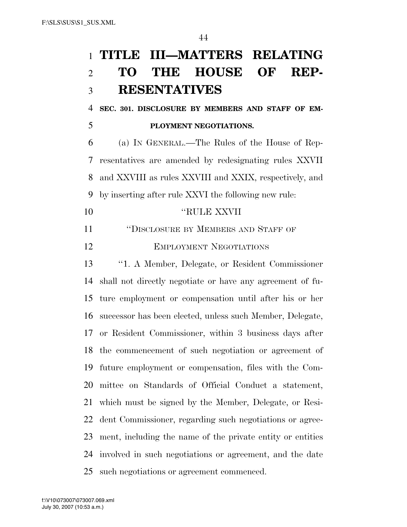**SEC. 301. DISCLOSURE BY MEMBERS AND STAFF OF EM-PLOYMENT NEGOTIATIONS.** 

 (a) IN GENERAL.—The Rules of the House of Rep- resentatives are amended by redesignating rules XXVII and XXVIII as rules XXVIII and XXIX, respectively, and by inserting after rule XXVI the following new rule:

''RULE XXVII

''DISCLOSURE BY MEMBERS AND STAFF OF

EMPLOYMENT NEGOTIATIONS

 ''1. A Member, Delegate, or Resident Commissioner shall not directly negotiate or have any agreement of fu- ture employment or compensation until after his or her successor has been elected, unless such Member, Delegate, or Resident Commissioner, within 3 business days after the commencement of such negotiation or agreement of future employment or compensation, files with the Com- mittee on Standards of Official Conduct a statement, which must be signed by the Member, Delegate, or Resi- dent Commissioner, regarding such negotiations or agree- ment, including the name of the private entity or entities involved in such negotiations or agreement, and the date such negotiations or agreement commenced.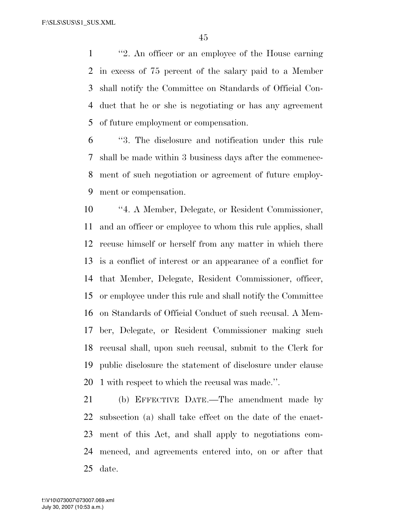''2. An officer or an employee of the House earning in excess of 75 percent of the salary paid to a Member shall notify the Committee on Standards of Official Con- duct that he or she is negotiating or has any agreement of future employment or compensation.

 ''3. The disclosure and notification under this rule shall be made within 3 business days after the commence- ment of such negotiation or agreement of future employ-ment or compensation.

 ''4. A Member, Delegate, or Resident Commissioner, and an officer or employee to whom this rule applies, shall recuse himself or herself from any matter in which there is a conflict of interest or an appearance of a conflict for that Member, Delegate, Resident Commissioner, officer, or employee under this rule and shall notify the Committee on Standards of Official Conduct of such recusal. A Mem- ber, Delegate, or Resident Commissioner making such recusal shall, upon such recusal, submit to the Clerk for public disclosure the statement of disclosure under clause 1 with respect to which the recusal was made.''.

 (b) EFFECTIVE DATE.—The amendment made by subsection (a) shall take effect on the date of the enact- ment of this Act, and shall apply to negotiations com- menced, and agreements entered into, on or after that date.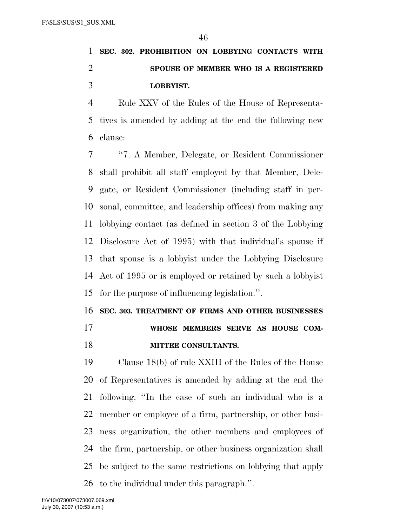# **SEC. 302. PROHIBITION ON LOBBYING CONTACTS WITH SPOUSE OF MEMBER WHO IS A REGISTERED LOBBYIST.**

 Rule XXV of the Rules of the House of Representa- tives is amended by adding at the end the following new clause:

 ''7. A Member, Delegate, or Resident Commissioner shall prohibit all staff employed by that Member, Dele- gate, or Resident Commissioner (including staff in per- sonal, committee, and leadership offices) from making any lobbying contact (as defined in section 3 of the Lobbying Disclosure Act of 1995) with that individual's spouse if that spouse is a lobbyist under the Lobbying Disclosure Act of 1995 or is employed or retained by such a lobbyist for the purpose of influencing legislation.''.

## **SEC. 303. TREATMENT OF FIRMS AND OTHER BUSINESSES WHOSE MEMBERS SERVE AS HOUSE COM-**

### **MITTEE CONSULTANTS.**

 Clause 18(b) of rule XXIII of the Rules of the House of Representatives is amended by adding at the end the following: ''In the case of such an individual who is a member or employee of a firm, partnership, or other busi- ness organization, the other members and employees of the firm, partnership, or other business organization shall be subject to the same restrictions on lobbying that apply to the individual under this paragraph.''.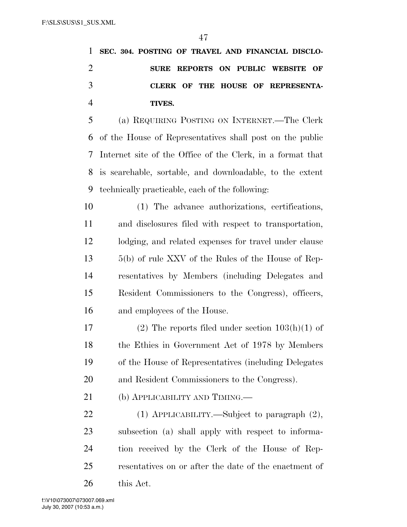|   | 1 SEC. 304. POSTING OF TRAVEL AND FINANCIAL DISCLO- |
|---|-----------------------------------------------------|
|   | SURE REPORTS ON PUBLIC WEBSITE OF                   |
|   | CLERK OF THE HOUSE OF REPRESENTA-                   |
|   | TIVES.                                              |
| 5 | (a) REQUIRING POSTING ON INTERNET.—The Clerk        |
|   |                                                     |

 of the House of Representatives shall post on the public Internet site of the Office of the Clerk, in a format that is searchable, sortable, and downloadable, to the extent technically practicable, each of the following:

 (1) The advance authorizations, certifications, and disclosures filed with respect to transportation, lodging, and related expenses for travel under clause 5(b) of rule XXV of the Rules of the House of Rep- resentatives by Members (including Delegates and Resident Commissioners to the Congress), officers, and employees of the House.

17 (2) The reports filed under section  $103(h)(1)$  of 18 the Ethics in Government Act of 1978 by Members of the House of Representatives (including Delegates and Resident Commissioners to the Congress).

21 (b) APPLICABILITY AND TIMING.—

 (1) APPLICABILITY.—Subject to paragraph (2), subsection (a) shall apply with respect to informa- tion received by the Clerk of the House of Rep- resentatives on or after the date of the enactment of this Act.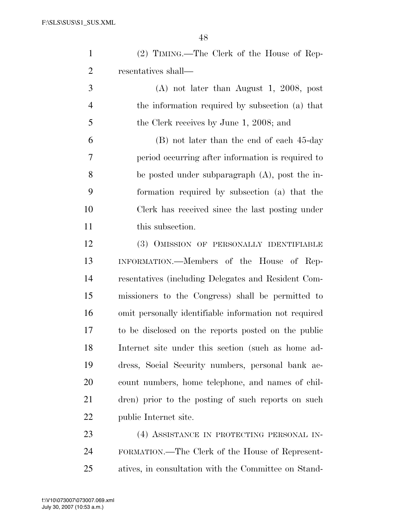| $\mathbf{1}$   | (2) TIMING.—The Clerk of the House of Rep-            |
|----------------|-------------------------------------------------------|
| $\overline{2}$ | resentatives shall—                                   |
| 3              | $(A)$ not later than August 1, 2008, post             |
| $\overline{4}$ | the information required by subsection (a) that       |
| 5              | the Clerk receives by June 1, 2008; and               |
| 6              | (B) not later than the end of each 45-day             |
| 7              | period occurring after information is required to     |
| 8              | be posted under subparagraph $(A)$ , post the in-     |
| 9              | formation required by subsection (a) that the         |
| 10             | Clerk has received since the last posting under       |
| 11             | this subsection.                                      |
| 12             | (3) OMISSION OF PERSONALLY IDENTIFIABLE               |
| 13             | INFORMATION.—Members of the House of Rep-             |
| 14             | resentatives (including Delegates and Resident Com-   |
| 15             | missioners to the Congress) shall be permitted to     |
| 16             | omit personally identifiable information not required |
| 17             | to be disclosed on the reports posted on the public   |
| 18             | Internet site under this section (such as home ad-    |
| 19             | dress, Social Security numbers, personal bank ac-     |
| <b>20</b>      | count numbers, home telephone, and names of chil-     |
| 21             | dren) prior to the posting of such reports on such    |
| 22             | public Internet site.                                 |
| 23             | (4) ASSISTANCE IN PROTECTING PERSONAL IN-             |
| 24             | FORMATION.—The Clerk of the House of Represent-       |
| 25             | atives, in consultation with the Committee on Stand-  |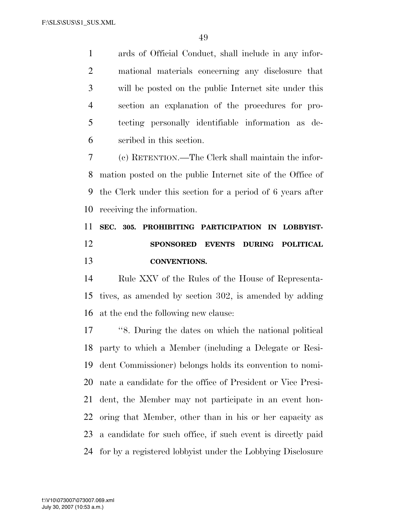ards of Official Conduct, shall include in any infor- mational materials concerning any disclosure that will be posted on the public Internet site under this section an explanation of the procedures for pro- tecting personally identifiable information as de-scribed in this section.

 (c) RETENTION.—The Clerk shall maintain the infor- mation posted on the public Internet site of the Office of the Clerk under this section for a period of 6 years after receiving the information.

# **SEC. 305. PROHIBITING PARTICIPATION IN LOBBYIST- SPONSORED EVENTS DURING POLITICAL CONVENTIONS.**

 Rule XXV of the Rules of the House of Representa- tives, as amended by section 302, is amended by adding at the end the following new clause:

 ''8. During the dates on which the national political party to which a Member (including a Delegate or Resi- dent Commissioner) belongs holds its convention to nomi- nate a candidate for the office of President or Vice Presi- dent, the Member may not participate in an event hon- oring that Member, other than in his or her capacity as a candidate for such office, if such event is directly paid for by a registered lobbyist under the Lobbying Disclosure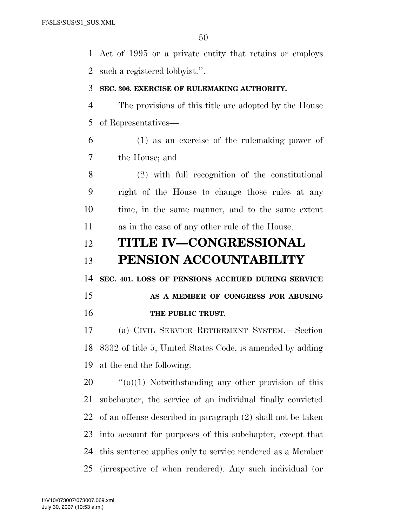Act of 1995 or a private entity that retains or employs such a registered lobbyist.''.

#### **SEC. 306. EXERCISE OF RULEMAKING AUTHORITY.**

 The provisions of this title are adopted by the House of Representatives—

 (1) as an exercise of the rulemaking power of the House; and

 (2) with full recognition of the constitutional right of the House to change those rules at any time, in the same manner, and to the same extent as in the case of any other rule of the House.

## **TITLE IV—CONGRESSIONAL PENSION ACCOUNTABILITY**

**SEC. 401. LOSS OF PENSIONS ACCRUED DURING SERVICE** 

## **AS A MEMBER OF CONGRESS FOR ABUSING THE PUBLIC TRUST.**

 (a) CIVIL SERVICE RETIREMENT SYSTEM.—Section 8332 of title 5, United States Code, is amended by adding at the end the following:

 ''(o)(1) Notwithstanding any other provision of this subchapter, the service of an individual finally convicted of an offense described in paragraph (2) shall not be taken into account for purposes of this subchapter, except that this sentence applies only to service rendered as a Member (irrespective of when rendered). Any such individual (or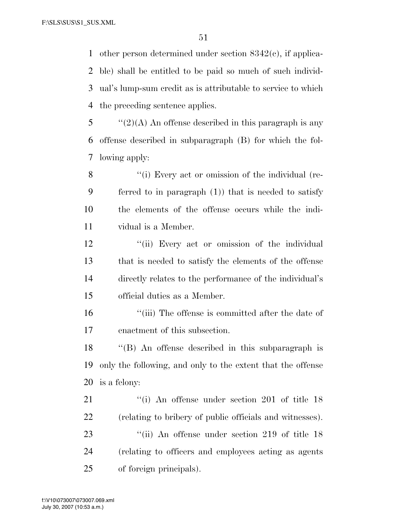other person determined under section 8342(c), if applica- ble) shall be entitled to be paid so much of such individ- ual's lump-sum credit as is attributable to service to which the preceding sentence applies.

 "(2)(A) An offense described in this paragraph is any offense described in subparagraph (B) for which the fol-lowing apply:

8 ''(i) Every act or omission of the individual (re- ferred to in paragraph (1)) that is needed to satisfy the elements of the offense occurs while the indi-vidual is a Member.

12 ''(ii) Every act or omission of the individual that is needed to satisfy the elements of the offense directly relates to the performance of the individual's official duties as a Member.

 ''(iii) The offense is committed after the date of enactment of this subsection.

 ''(B) An offense described in this subparagraph is only the following, and only to the extent that the offense is a felony:

21 ''(i) An offense under section 201 of title 18 (relating to bribery of public officials and witnesses). 23 ''(ii) An offense under section 219 of title 18 (relating to officers and employees acting as agents of foreign principals).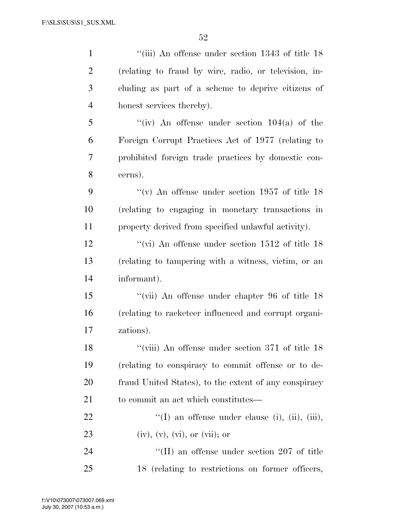| $\mathbf{1}$   | "(iii) An offense under section $1343$ of title $18$  |
|----------------|-------------------------------------------------------|
| $\overline{2}$ | (relating to fraud by wire, radio, or television, in- |
| 3              | cluding as part of a scheme to deprive citizens of    |
| $\overline{4}$ | honest services thereby).                             |
| 5              | "(iv) An offense under section $104(a)$ of the        |
| 6              | Foreign Corrupt Practices Act of 1977 (relating to    |
| $\tau$         | prohibited foreign trade practices by domestic con-   |
| 8              | cerns).                                               |
| 9              | "(v) An offense under section 1957 of title $18$      |
| 10             | (relating to engaging in monetary transactions in     |
| 11             | property derived from specified unlawful activity).   |
| 12             | "(vi) An offense under section $1512$ of title 18     |
| 13             | (relating to tampering with a witness, victim, or an  |
| 14             | informant).                                           |
| 15             | "(vii) An offense under chapter 96 of title 18        |
| 16             | (relating to racketeer influenced and corrupt organi- |
| 17             | zations).                                             |
| 18             | $\lq$ (viii) An offense under section 371 of title 18 |
| 19             | (relating to conspiracy to commit offense or to de-   |
| 20             | fraud United States), to the extent of any conspiracy |
| 21             | to commit an act which constitutes—                   |
| 22             | "(I) an offense under clause (i), (ii), (iii),        |
| 23             | $(iv), (v), (vi), or (vii);$ or                       |
| 24             | $\rm{``(II)}$ an offense under section 207 of title   |
| 25             | 18 (relating to restrictions on former officers,      |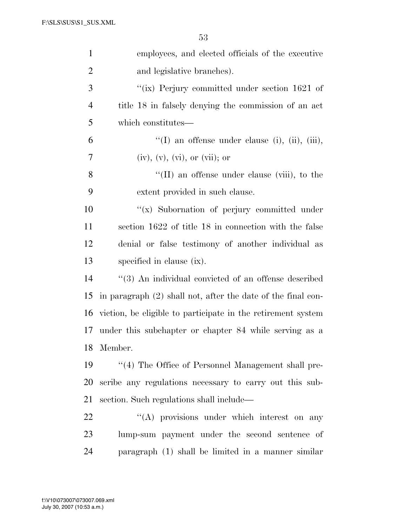| $\mathbf{1}$   | employees, and elected officials of the executive            |
|----------------|--------------------------------------------------------------|
| $\overline{2}$ | and legislative branches).                                   |
| 3              | "(ix) Perjury committed under section $1621$ of              |
| $\overline{4}$ | title 18 in falsely denying the commission of an act         |
| 5              | which constitutes—                                           |
| 6              | "(I) an offense under clause (i), (ii), (iii),               |
| 7              | $(iv), (v), (vi), or (vii);$ or                              |
| 8              | $\lq\lq$ (II) an offense under clause (viii), to the         |
| 9              | extent provided in such clause.                              |
| 10             | "(x) Subornation of perjury committed under                  |
| 11             | section 1622 of title 18 in connection with the false        |
| 12             | denial or false testimony of another individual as           |
| 13             | specified in clause (ix).                                    |
| 14             | "(3) An individual convicted of an offense described         |
| 15             | in paragraph (2) shall not, after the date of the final con- |
| 16             | viction, be eligible to participate in the retirement system |
| 17             | under this subchapter or chapter 84 while serving as a       |
| 18             | Member.                                                      |
| 19             | "(4) The Office of Personnel Management shall pre-           |
| 20             | scribe any regulations necessary to carry out this sub-      |
| 21             | section. Such regulations shall include—                     |
| 22             | "(A) provisions under which interest on any                  |
| 23             | lump-sum payment under the second sentence of                |
| 24             | paragraph (1) shall be limited in a manner similar           |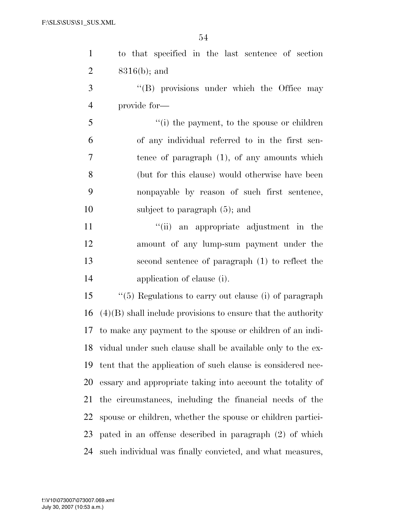| $\mathbf{1}$   | to that specified in the last sentence of section              |
|----------------|----------------------------------------------------------------|
| $\overline{2}$ | $8316(b)$ ; and                                                |
| 3              | $\lq\lq$ (B) provisions under which the Office may             |
| $\overline{4}$ | provide for-                                                   |
| 5              | "(i) the payment, to the spouse or children                    |
| 6              | of any individual referred to in the first sen-                |
| 7              | tence of paragraph $(1)$ , of any amounts which                |
| 8              | (but for this clause) would otherwise have been                |
| 9              | nonpayable by reason of such first sentence,                   |
| 10             | subject to paragraph $(5)$ ; and                               |
| 11             | "(ii) an appropriate adjustment in the                         |
| 12             | amount of any lump-sum payment under the                       |
| 13             | second sentence of paragraph (1) to reflect the                |
| 14             | application of clause (i).                                     |
| 15             | "(5) Regulations to carry out clause (i) of paragraph          |
| 16             | $(4)(B)$ shall include provisions to ensure that the authority |
|                | 17 to make any payment to the spouse or children of an indi-   |
|                | 18 vidual under such clause shall be available only to the ex- |
| 19             | tent that the application of such clause is considered nec-    |
| 20             | essary and appropriate taking into account the totality of     |
| 21             | the circumstances, including the financial needs of the        |
| 22             | spouse or children, whether the spouse or children partici-    |
| 23             | pated in an offense described in paragraph (2) of which        |
| 24             | such individual was finally convicted, and what measures,      |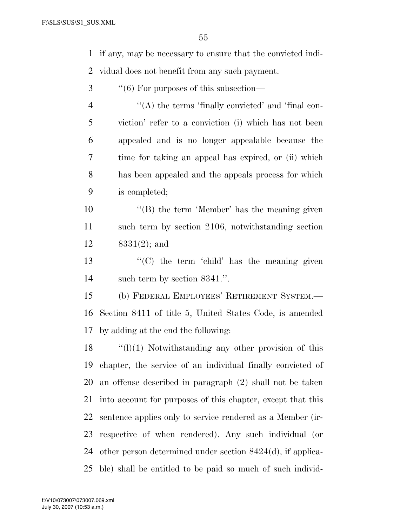if any, may be necessary to ensure that the convicted indi-vidual does not benefit from any such payment.

3  $\cdot$  (6) For purposes of this subsection—

4 "(A) the terms 'finally convicted' and 'final con- viction' refer to a conviction (i) which has not been appealed and is no longer appealable because the time for taking an appeal has expired, or (ii) which has been appealed and the appeals process for which is completed;

10 ''(B) the term 'Member' has the meaning given such term by section 2106, notwithstanding section 8331(2); and

13  $\langle G \rangle$  the term 'child' has the meaning given such term by section 8341.''.

 (b) FEDERAL EMPLOYEES' RETIREMENT SYSTEM.— Section 8411 of title 5, United States Code, is amended by adding at the end the following:

 ''(l)(1) Notwithstanding any other provision of this chapter, the service of an individual finally convicted of an offense described in paragraph (2) shall not be taken into account for purposes of this chapter, except that this sentence applies only to service rendered as a Member (ir- respective of when rendered). Any such individual (or other person determined under section 8424(d), if applica-ble) shall be entitled to be paid so much of such individ-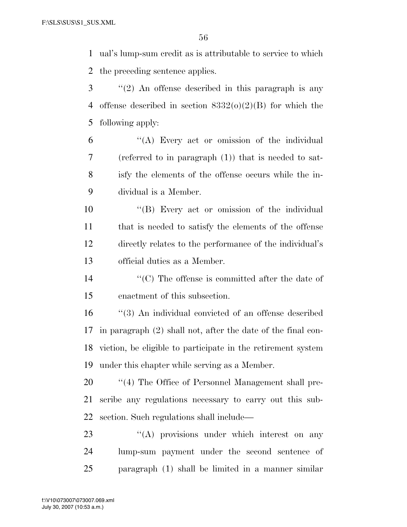ual's lump-sum credit as is attributable to service to which the preceding sentence applies.

- ''(2) An offense described in this paragraph is any 4 offense described in section  $8332(0)(2)(B)$  for which the following apply:
- ''(A) Every act or omission of the individual (referred to in paragraph (1)) that is needed to sat- isfy the elements of the offense occurs while the in-dividual is a Member.

 ''(B) Every act or omission of the individual that is needed to satisfy the elements of the offense directly relates to the performance of the individual's official duties as a Member.

 ''(C) The offense is committed after the date of enactment of this subsection.

 ''(3) An individual convicted of an offense described in paragraph (2) shall not, after the date of the final con- viction, be eligible to participate in the retirement system under this chapter while serving as a Member.

20  $\frac{1}{20}$  (4) The Office of Personnel Management shall pre- scribe any regulations necessary to carry out this sub-section. Such regulations shall include—

23 "(A) provisions under which interest on any lump-sum payment under the second sentence of paragraph (1) shall be limited in a manner similar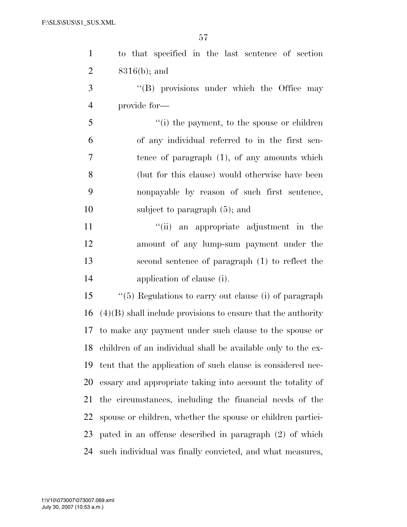| $\mathbf{1}$   | to that specified in the last sentence of section               |
|----------------|-----------------------------------------------------------------|
| $\overline{2}$ | $8316(b)$ ; and                                                 |
| 3              | "(B) provisions under which the Office may                      |
| $\overline{4}$ | provide for-                                                    |
| 5              | "(i) the payment, to the spouse or children                     |
| 6              | of any individual referred to in the first sen-                 |
| $\tau$         | tence of paragraph $(1)$ , of any amounts which                 |
| 8              | (but for this clause) would otherwise have been                 |
| 9              | nonpayable by reason of such first sentence,                    |
| 10             | subject to paragraph $(5)$ ; and                                |
| 11             | "(ii) an appropriate adjustment in the                          |
| 12             | amount of any lump-sum payment under the                        |
| 13             | second sentence of paragraph (1) to reflect the                 |
| 14             | application of clause (i).                                      |
| 15             | $``(5)$ Regulations to carry out clause (i) of paragraph        |
| 16             | $(4)(B)$ shall include provisions to ensure that the authority  |
| 17             | to make any payment under such clause to the spouse or          |
|                | 18 children of an individual shall be available only to the ex- |
| 19             | tent that the application of such clause is considered nec-     |
| 20             | essary and appropriate taking into account the totality of      |
| 21             | the circumstances, including the financial needs of the         |
| 22             | spouse or children, whether the spouse or children partici-     |
| 23             | pated in an offense described in paragraph (2) of which         |
| 24             | such individual was finally convicted, and what measures,       |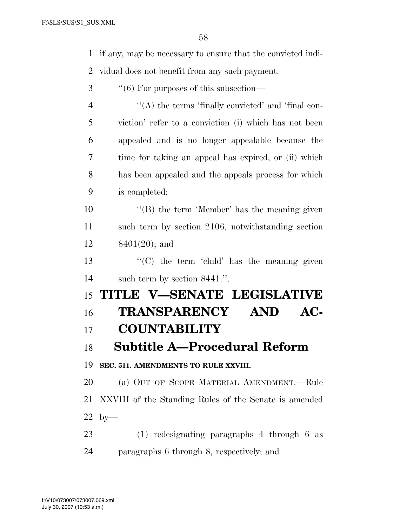if any, may be necessary to ensure that the convicted indi- vidual does not benefit from any such payment.  $\cdot$  (6) For purposes of this subsection— 4 "(A) the terms 'finally convicted' and 'final con- viction' refer to a conviction (i) which has not been appealed and is no longer appealable because the time for taking an appeal has expired, or (ii) which has been appealed and the appeals process for which is completed; 10 ''(B) the term 'Member' has the meaning given such term by section 2106, notwithstanding section 8401(20); and  $\langle G \rangle$  the term 'child' has the meaning given such term by section 8441.''. **TITLE V—SENATE LEGISLATIVE TRANSPARENCY AND AC- COUNTABILITY Subtitle A—Procedural Reform SEC. 511. AMENDMENTS TO RULE XXVIII.**  (a) OUT OF SCOPE MATERIAL AMENDMENT.—Rule XXVIII of the Standing Rules of the Senate is amended by— (1) redesignating paragraphs 4 through 6 as

paragraphs 6 through 8, respectively; and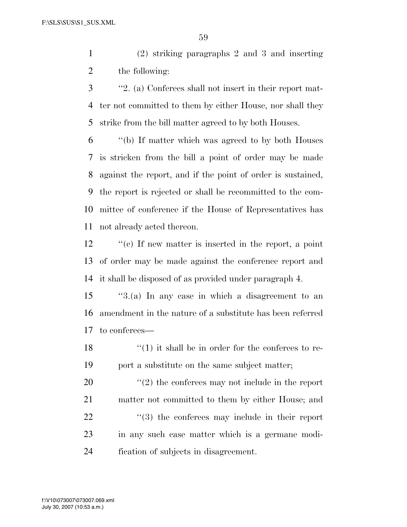(2) striking paragraphs 2 and 3 and inserting the following:

 ''2. (a) Conferees shall not insert in their report mat- ter not committed to them by either House, nor shall they strike from the bill matter agreed to by both Houses.

 ''(b) If matter which was agreed to by both Houses is stricken from the bill a point of order may be made against the report, and if the point of order is sustained, the report is rejected or shall be recommitted to the com- mittee of conference if the House of Representatives has not already acted thereon.

12  $\cdot$  "(c) If new matter is inserted in the report, a point of order may be made against the conference report and it shall be disposed of as provided under paragraph 4.

 ''3.(a) In any case in which a disagreement to an amendment in the nature of a substitute has been referred to conferees—

18  $\frac{1}{2}$  (1) it shall be in order for the conferees to re-port a substitute on the same subject matter;

 $\frac{1}{2}$  the conferees may not include in the report matter not committed to them by either House; and  $\frac{1}{2}$  (3) the conferees may include in their report in any such case matter which is a germane modi-fication of subjects in disagreement.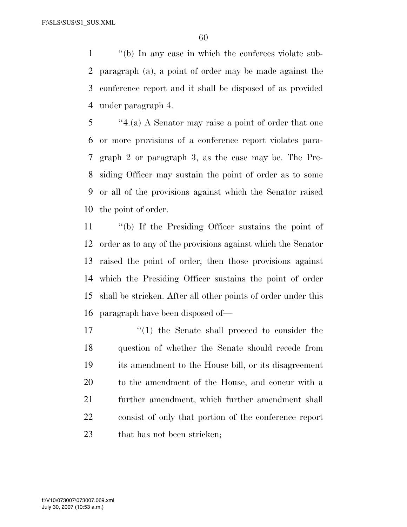''(b) In any case in which the conferees violate sub- paragraph (a), a point of order may be made against the conference report and it shall be disposed of as provided under paragraph 4.

 ''4.(a) A Senator may raise a point of order that one or more provisions of a conference report violates para- graph 2 or paragraph 3, as the case may be. The Pre- siding Officer may sustain the point of order as to some or all of the provisions against which the Senator raised the point of order.

 ''(b) If the Presiding Officer sustains the point of order as to any of the provisions against which the Senator raised the point of order, then those provisions against which the Presiding Officer sustains the point of order shall be stricken. After all other points of order under this paragraph have been disposed of—

 $\frac{17}{2}$  the Senate shall proceed to consider the question of whether the Senate should recede from its amendment to the House bill, or its disagreement to the amendment of the House, and concur with a further amendment, which further amendment shall consist of only that portion of the conference report 23 that has not been stricken;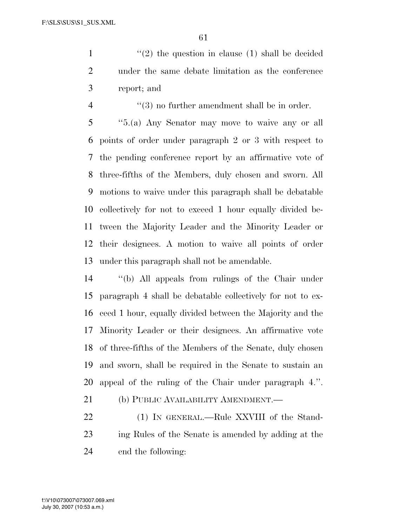1  $\frac{1}{2}$  the question in clause (1) shall be decided under the same debate limitation as the conference report; and

 $\frac{4}{3}$  ''(3) no further amendment shall be in order.

 ''5.(a) Any Senator may move to waive any or all points of order under paragraph 2 or 3 with respect to the pending conference report by an affirmative vote of three-fifths of the Members, duly chosen and sworn. All motions to waive under this paragraph shall be debatable collectively for not to exceed 1 hour equally divided be- tween the Majority Leader and the Minority Leader or their designees. A motion to waive all points of order under this paragraph shall not be amendable.

 ''(b) All appeals from rulings of the Chair under paragraph 4 shall be debatable collectively for not to ex- ceed 1 hour, equally divided between the Majority and the Minority Leader or their designees. An affirmative vote of three-fifths of the Members of the Senate, duly chosen and sworn, shall be required in the Senate to sustain an appeal of the ruling of the Chair under paragraph 4.''.

21 (b) PUBLIC AVAILABILITY AMENDMENT.

22 (1) IN GENERAL.—Rule XXVIII of the Stand- ing Rules of the Senate is amended by adding at the end the following: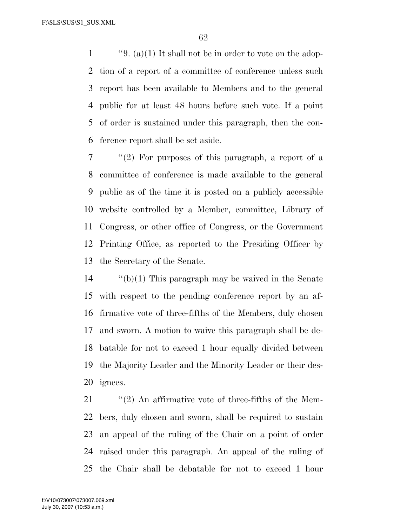1 ''9. (a)(1) It shall not be in order to vote on the adop- tion of a report of a committee of conference unless such report has been available to Members and to the general public for at least 48 hours before such vote. If a point of order is sustained under this paragraph, then the con-ference report shall be set aside.

 ''(2) For purposes of this paragraph, a report of a committee of conference is made available to the general public as of the time it is posted on a publicly accessible website controlled by a Member, committee, Library of Congress, or other office of Congress, or the Government Printing Office, as reported to the Presiding Officer by the Secretary of the Senate.

 ''(b)(1) This paragraph may be waived in the Senate with respect to the pending conference report by an af- firmative vote of three-fifths of the Members, duly chosen and sworn. A motion to waive this paragraph shall be de- batable for not to exceed 1 hour equally divided between the Majority Leader and the Minority Leader or their des-ignees.

 $\frac{1}{2}$  (2) An affirmative vote of three-fifths of the Mem- bers, duly chosen and sworn, shall be required to sustain an appeal of the ruling of the Chair on a point of order raised under this paragraph. An appeal of the ruling of the Chair shall be debatable for not to exceed 1 hour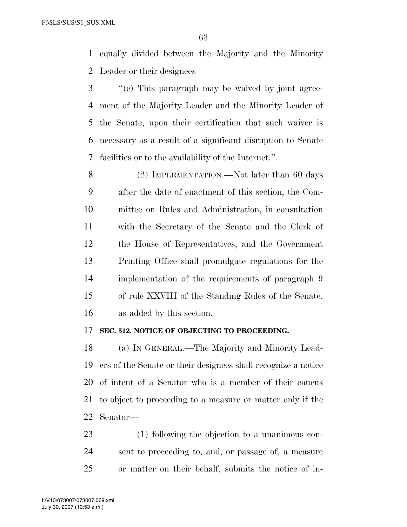equally divided between the Majority and the Minority Leader or their designees

 ''(c) This paragraph may be waived by joint agree- ment of the Majority Leader and the Minority Leader of the Senate, upon their certification that such waiver is necessary as a result of a significant disruption to Senate facilities or to the availability of the Internet.''.

8 (2) IMPLEMENTATION.—Not later than 60 days after the date of enactment of this section, the Com- mittee on Rules and Administration, in consultation with the Secretary of the Senate and the Clerk of the House of Representatives, and the Government Printing Office shall promulgate regulations for the implementation of the requirements of paragraph 9 of rule XXVIII of the Standing Rules of the Senate, as added by this section.

#### **SEC. 512. NOTICE OF OBJECTING TO PROCEEDING.**

 (a) IN GENERAL.—The Majority and Minority Lead- ers of the Senate or their designees shall recognize a notice of intent of a Senator who is a member of their caucus to object to proceeding to a measure or matter only if the Senator—

 (1) following the objection to a unanimous con- sent to proceeding to, and, or passage of, a measure or matter on their behalf, submits the notice of in-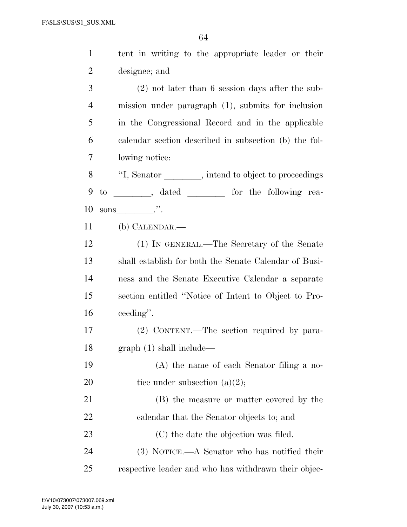| $\mathbf{1}$   | tent in writing to the appropriate leader or their    |
|----------------|-------------------------------------------------------|
| $\overline{2}$ | designee; and                                         |
| 3              | $(2)$ not later than 6 session days after the sub-    |
| $\overline{4}$ | mission under paragraph (1), submits for inclusion    |
| 5              | in the Congressional Record and in the applicable     |
| 6              | calendar section described in subsection (b) the fol- |
| 7              | lowing notice:                                        |
| 8              | "I, Senator _______, intend to object to proceedings  |
| 9              | $\rm{to}$                                             |
| 10             | sons $\cdots$                                         |
| 11             | $(b)$ CALENDAR.—                                      |
| 12             | (1) IN GENERAL.—The Secretary of the Senate           |
| 13             | shall establish for both the Senate Calendar of Busi- |
| 14             | ness and the Senate Executive Calendar a separate     |
| 15             | section entitled "Notice of Intent to Object to Pro-  |
| 16             | ceeding".                                             |
| 17             | (2) CONTENT.—The section required by para-            |
| 18             | graph (1) shall include—                              |
| 19             | (A) the name of each Senator filing a no-             |
| 20             | tice under subsection $(a)(2)$ ;                      |
| 21             | (B) the measure or matter covered by the              |
| 22             | calendar that the Senator objects to; and             |
| 23             | (C) the date the objection was filed.                 |
| 24             | (3) NOTICE.—A Senator who has notified their          |
| 25             | respective leader and who has withdrawn their objec-  |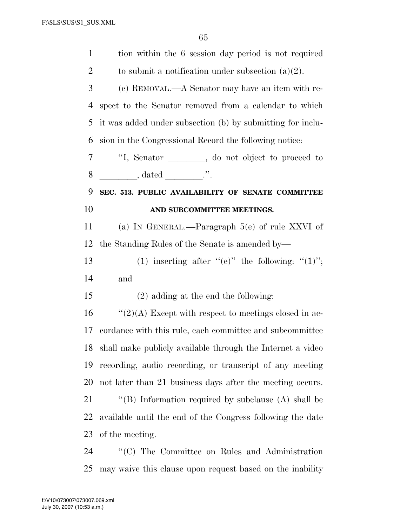| $\mathbf{1}$   | tion within the 6 session day period is not required                                   |
|----------------|----------------------------------------------------------------------------------------|
| $\overline{2}$ | to submit a notification under subsection $(a)(2)$ .                                   |
| 3              | (c) REMOVAL.—A Senator may have an item with re-                                       |
| 4              | spect to the Senator removed from a calendar to which                                  |
| 5              | it was added under subsection (b) by submitting for inclu-                             |
| 6              | sion in the Congressional Record the following notice:                                 |
| 7              | "I, Senator ______, do not object to proceed to                                        |
| 8              | $\qquad \qquad \ldots \qquad \qquad \text{, dated} \qquad \qquad \ldots \qquad \ldots$ |
| 9              | SEC. 513. PUBLIC AVAILABILITY OF SENATE COMMITTEE                                      |
| 10             | AND SUBCOMMITTEE MEETINGS.                                                             |
| 11             | (a) IN GENERAL.—Paragraph $5(e)$ of rule XXVI of                                       |
| 12             | the Standing Rules of the Senate is amended by—                                        |
| 13             | (1) inserting after "(e)" the following: " $(1)$ ";                                    |
| 14             | and                                                                                    |
| 15             | $(2)$ adding at the end the following:                                                 |
| 16             | " $(2)(A)$ Except with respect to meetings closed in ac-                               |
| 17             | cordance with this rule, each committee and subcommittee                               |
|                | 18 shall make publicly available through the Internet a video                          |
| 19             | recording, audio recording, or transcript of any meeting                               |
| 20             | not later than 21 business days after the meeting occurs.                              |
| 21             | "(B) Information required by subclause $(A)$ shall be                                  |
| 22             |                                                                                        |
|                | available until the end of the Congress following the date                             |
| 23             | of the meeting.                                                                        |

may waive this clause upon request based on the inability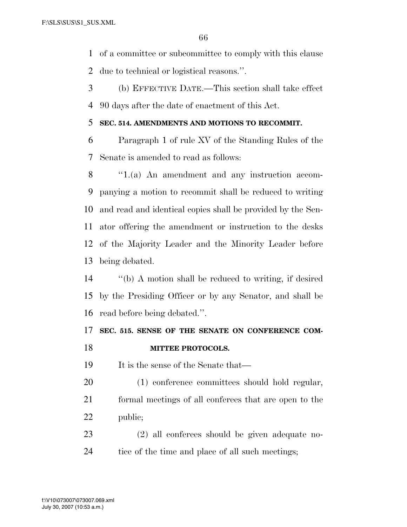of a committee or subcommittee to comply with this clause

due to technical or logistical reasons.''.

 (b) EFFECTIVE DATE.—This section shall take effect 90 days after the date of enactment of this Act.

### **SEC. 514. AMENDMENTS AND MOTIONS TO RECOMMIT.**

 Paragraph 1 of rule XV of the Standing Rules of the Senate is amended to read as follows:

 ''1.(a) An amendment and any instruction accom- panying a motion to recommit shall be reduced to writing and read and identical copies shall be provided by the Sen- ator offering the amendment or instruction to the desks of the Majority Leader and the Minority Leader before being debated.

 ''(b) A motion shall be reduced to writing, if desired by the Presiding Officer or by any Senator, and shall be read before being debated.''.

### **SEC. 515. SENSE OF THE SENATE ON CONFERENCE COM-MITTEE PROTOCOLS.**

19 It is the sense of the Senate that—

 (1) conference committees should hold regular, formal meetings of all conferees that are open to the public;

 (2) all conferees should be given adequate no-24 tice of the time and place of all such meetings;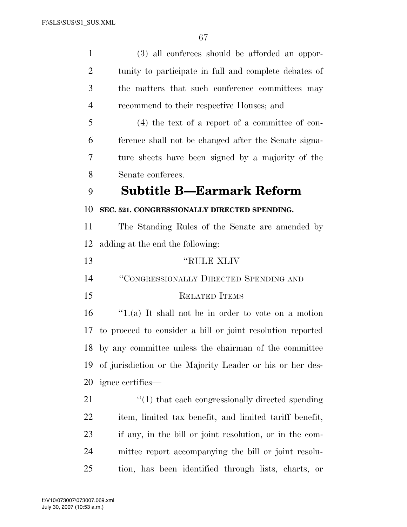| $\mathbf{1}$   | (3) all conferees should be afforded an oppor-                   |
|----------------|------------------------------------------------------------------|
| $\overline{2}$ | tunity to participate in full and complete debates of            |
| 3              | the matters that such conference committees may                  |
| $\overline{4}$ | recommend to their respective Houses; and                        |
| 5              | $(4)$ the text of a report of a committee of con-                |
| 6              | ference shall not be changed after the Senate signa-             |
| 7              | ture sheets have been signed by a majority of the                |
| 8              | Senate conferees.                                                |
| 9              | Subtitle B—Earmark Reform                                        |
| 10             | SEC. 521. CONGRESSIONALLY DIRECTED SPENDING.                     |
| 11             | The Standing Rules of the Senate are amended by                  |
| 12             | adding at the end the following:                                 |
| 13             | "RULE XLIV                                                       |
| 14             | "CONGRESSIONALLY DIRECTED SPENDING AND                           |
| 15             | <b>RELATED ITEMS</b>                                             |
| 16             | $f(1)(a)$ It shall not be in order to vote on a motion           |
| 17             | to proceed to consider a bill or joint resolution reported       |
| 18             | by any committee unless the chairman of the committee            |
| 19             | of jurisdiction or the Majority Leader or his or her des-        |
| 20             | ignee certifies—                                                 |
| 21             | $\cdot\cdot\cdot(1)$ that each congressionally directed spending |
| <u>22</u>      | item, limited tax benefit, and limited tariff benefit,           |
| 23             | if any, in the bill or joint resolution, or in the com-          |
| 24             | mittee report accompanying the bill or joint resolu-             |
| 25             | tion, has been identified through lists, charts, or              |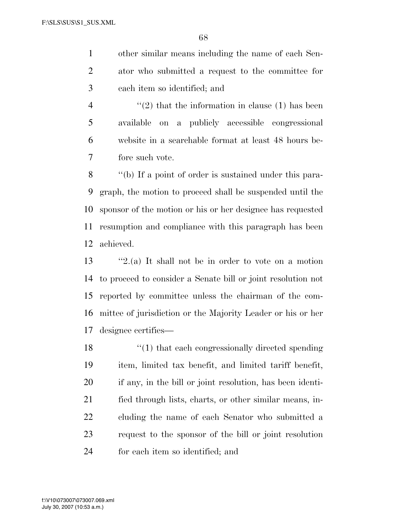other similar means including the name of each Sen- ator who submitted a request to the committee for each item so identified; and

 $(2)$  that the information in clause (1) has been available on a publicly accessible congressional website in a searchable format at least 48 hours be-fore such vote.

 ''(b) If a point of order is sustained under this para- graph, the motion to proceed shall be suspended until the sponsor of the motion or his or her designee has requested resumption and compliance with this paragraph has been achieved.

 ''2.(a) It shall not be in order to vote on a motion to proceed to consider a Senate bill or joint resolution not reported by committee unless the chairman of the com- mittee of jurisdiction or the Majority Leader or his or her designee certifies—

18 ''(1) that each congressionally directed spending item, limited tax benefit, and limited tariff benefit, if any, in the bill or joint resolution, has been identi- fied through lists, charts, or other similar means, in- cluding the name of each Senator who submitted a request to the sponsor of the bill or joint resolution for each item so identified; and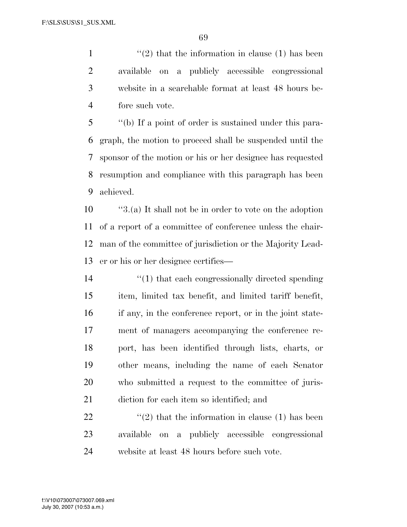$\frac{1}{2}$  that the information in clause (1) has been available on a publicly accessible congressional website in a searchable format at least 48 hours be-fore such vote.

 ''(b) If a point of order is sustained under this para- graph, the motion to proceed shall be suspended until the sponsor of the motion or his or her designee has requested resumption and compliance with this paragraph has been achieved.

 ''3.(a) It shall not be in order to vote on the adoption of a report of a committee of conference unless the chair- man of the committee of jurisdiction or the Majority Lead-er or his or her designee certifies—

 $\frac{1}{2}$  (1) that each congressionally directed spending item, limited tax benefit, and limited tariff benefit, if any, in the conference report, or in the joint state- ment of managers accompanying the conference re- port, has been identified through lists, charts, or other means, including the name of each Senator who submitted a request to the committee of juris-diction for each item so identified; and

22  $\langle \langle 2 \rangle$  that the information in clause (1) has been available on a publicly accessible congressional website at least 48 hours before such vote.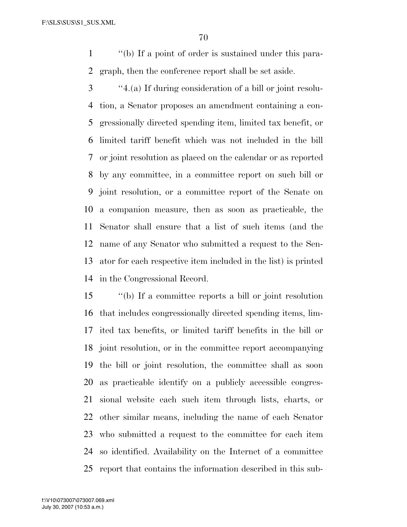''(b) If a point of order is sustained under this para-graph, then the conference report shall be set aside.

 ''4.(a) If during consideration of a bill or joint resolu- tion, a Senator proposes an amendment containing a con- gressionally directed spending item, limited tax benefit, or limited tariff benefit which was not included in the bill or joint resolution as placed on the calendar or as reported by any committee, in a committee report on such bill or joint resolution, or a committee report of the Senate on a companion measure, then as soon as practicable, the Senator shall ensure that a list of such items (and the name of any Senator who submitted a request to the Sen- ator for each respective item included in the list) is printed in the Congressional Record.

 ''(b) If a committee reports a bill or joint resolution that includes congressionally directed spending items, lim- ited tax benefits, or limited tariff benefits in the bill or joint resolution, or in the committee report accompanying the bill or joint resolution, the committee shall as soon as practicable identify on a publicly accessible congres- sional website each such item through lists, charts, or other similar means, including the name of each Senator who submitted a request to the committee for each item so identified. Availability on the Internet of a committee report that contains the information described in this sub-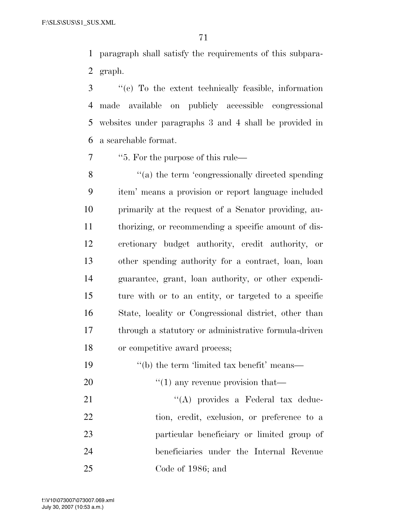paragraph shall satisfy the requirements of this subpara-graph.

 ''(c) To the extent technically feasible, information made available on publicly accessible congressional websites under paragraphs 3 and 4 shall be provided in a searchable format.

''5. For the purpose of this rule—

 $\frac{u}{a}$  the term 'congressionally directed spending' item' means a provision or report language included primarily at the request of a Senator providing, au- thorizing, or recommending a specific amount of dis- cretionary budget authority, credit authority, or other spending authority for a contract, loan, loan guarantee, grant, loan authority, or other expendi- ture with or to an entity, or targeted to a specific State, locality or Congressional district, other than through a statutory or administrative formula-driven or competitive award process;

- 19 ''(b) the term 'limited tax benefit' means—
- 20  $\frac{1}{20}$  (1) any revenue provision that—

21 ''(A) provides a Federal tax deduc- tion, credit, exclusion, or preference to a particular beneficiary or limited group of beneficiaries under the Internal Revenue Code of 1986; and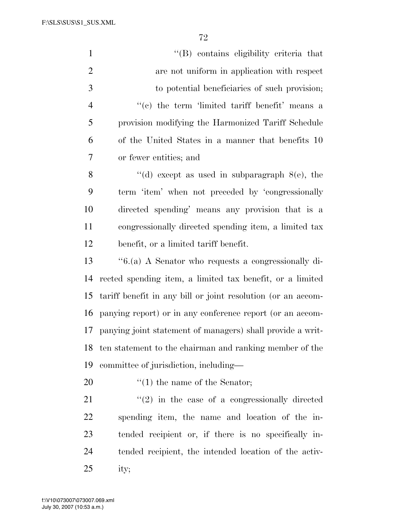F:\SLS\SUS\S1\_SUS.XML

| $\mathbf{1}$   | "(B) contains eligibility criteria that                      |
|----------------|--------------------------------------------------------------|
| $\overline{2}$ | are not uniform in application with respect                  |
| 3              | to potential beneficiaries of such provision;                |
| $\overline{4}$ | "(c) the term 'limited tariff benefit' means a               |
| 5              | provision modifying the Harmonized Tariff Schedule           |
| 6              | of the United States in a manner that benefits 10            |
| 7              | or fewer entities; and                                       |
| 8              | "(d) except as used in subparagraph $8(e)$ , the             |
| 9              | term 'item' when not preceded by 'congressionally            |
| 10             | directed spending' means any provision that is a             |
| 11             | congressionally directed spending item, a limited tax        |
| 12             | benefit, or a limited tariff benefit.                        |
| 13             | "6.(a) A Senator who requests a congressionally di-          |
| 14             | rected spending item, a limited tax benefit, or a limited    |
| 15             | tariff benefit in any bill or joint resolution (or an accom- |
| 16             | panying report) or in any conference report (or an accom-    |
| 17             | panying joint statement of managers) shall provide a writ-   |
| 18             | ten statement to the chairman and ranking member of the      |
| 19             | committee of jurisdiction, including—                        |
| 20             | $f'(1)$ the name of the Senator;                             |
| 21             | $\lq(2)$ in the case of a congressionally directed           |
| 22             | spending item, the name and location of the in-              |
| 23             | tended recipient or, if there is no specifically in-         |
| 24             | tended recipient, the intended location of the activ-        |

ity;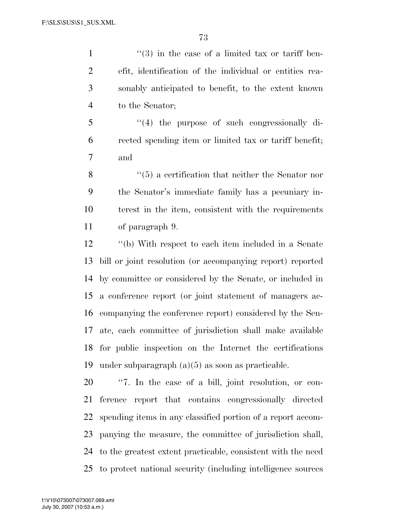$\frac{1}{1}$  ''(3) in the case of a limited tax or tariff ben- efit, identification of the individual or entities rea- sonably anticipated to benefit, to the extent known to the Senator;

 ''(4) the purpose of such congressionally di- rected spending item or limited tax or tariff benefit; and

8 ''(5) a certification that neither the Senator nor the Senator's immediate family has a pecuniary in- terest in the item, consistent with the requirements of paragraph 9.

 ''(b) With respect to each item included in a Senate bill or joint resolution (or accompanying report) reported by committee or considered by the Senate, or included in a conference report (or joint statement of managers ac- companying the conference report) considered by the Sen- ate, each committee of jurisdiction shall make available for public inspection on the Internet the certifications under subparagraph (a)(5) as soon as practicable.

 ''7. In the case of a bill, joint resolution, or con- ference report that contains congressionally directed spending items in any classified portion of a report accom- panying the measure, the committee of jurisdiction shall, to the greatest extent practicable, consistent with the need to protect national security (including intelligence sources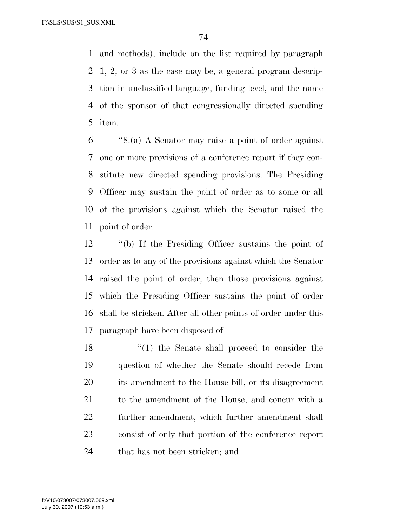and methods), include on the list required by paragraph 1, 2, or 3 as the case may be, a general program descrip- tion in unclassified language, funding level, and the name of the sponsor of that congressionally directed spending item.

 ''8.(a) A Senator may raise a point of order against one or more provisions of a conference report if they con- stitute new directed spending provisions. The Presiding Officer may sustain the point of order as to some or all of the provisions against which the Senator raised the point of order.

 ''(b) If the Presiding Officer sustains the point of order as to any of the provisions against which the Senator raised the point of order, then those provisions against which the Presiding Officer sustains the point of order shall be stricken. After all other points of order under this paragraph have been disposed of—

18 ''(1) the Senate shall proceed to consider the question of whether the Senate should recede from its amendment to the House bill, or its disagreement to the amendment of the House, and concur with a further amendment, which further amendment shall consist of only that portion of the conference report that has not been stricken; and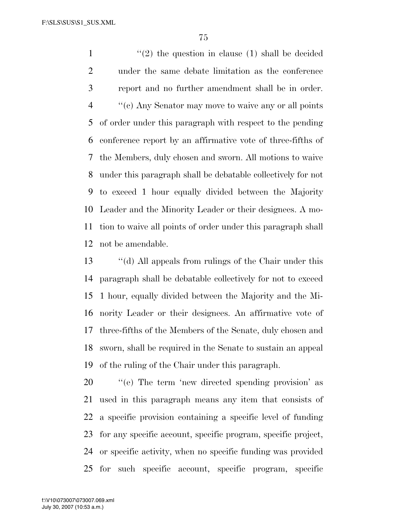$\frac{1}{2}$  the question in clause (1) shall be decided under the same debate limitation as the conference report and no further amendment shall be in order. ''(c) Any Senator may move to waive any or all points of order under this paragraph with respect to the pending conference report by an affirmative vote of three-fifths of the Members, duly chosen and sworn. All motions to waive under this paragraph shall be debatable collectively for not to exceed 1 hour equally divided between the Majority Leader and the Minority Leader or their designees. A mo- tion to waive all points of order under this paragraph shall not be amendable.

 ''(d) All appeals from rulings of the Chair under this paragraph shall be debatable collectively for not to exceed 1 hour, equally divided between the Majority and the Mi- nority Leader or their designees. An affirmative vote of three-fifths of the Members of the Senate, duly chosen and sworn, shall be required in the Senate to sustain an appeal of the ruling of the Chair under this paragraph.

 ''(e) The term 'new directed spending provision' as used in this paragraph means any item that consists of a specific provision containing a specific level of funding for any specific account, specific program, specific project, or specific activity, when no specific funding was provided for such specific account, specific program, specific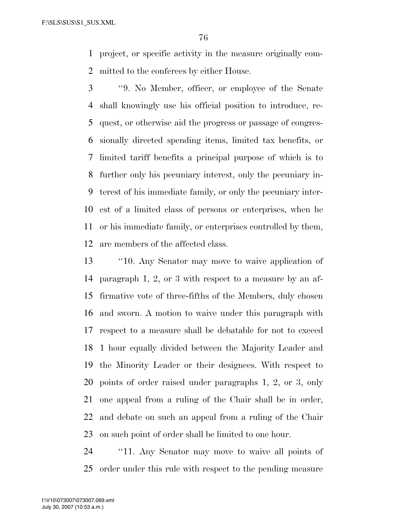project, or specific activity in the measure originally com-mitted to the conferees by either House.

 ''9. No Member, officer, or employee of the Senate shall knowingly use his official position to introduce, re- quest, or otherwise aid the progress or passage of congres- sionally directed spending items, limited tax benefits, or limited tariff benefits a principal purpose of which is to further only his pecuniary interest, only the pecuniary in- terest of his immediate family, or only the pecuniary inter- est of a limited class of persons or enterprises, when he or his immediate family, or enterprises controlled by them, are members of the affected class.

 ''10. Any Senator may move to waive application of paragraph 1, 2, or 3 with respect to a measure by an af- firmative vote of three-fifths of the Members, duly chosen and sworn. A motion to waive under this paragraph with respect to a measure shall be debatable for not to exceed 1 hour equally divided between the Majority Leader and the Minority Leader or their designees. With respect to points of order raised under paragraphs 1, 2, or 3, only one appeal from a ruling of the Chair shall be in order, and debate on such an appeal from a ruling of the Chair on such point of order shall be limited to one hour.

 ''11. Any Senator may move to waive all points of order under this rule with respect to the pending measure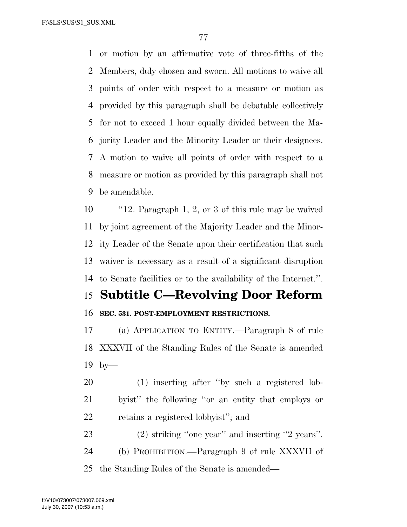or motion by an affirmative vote of three-fifths of the Members, duly chosen and sworn. All motions to waive all points of order with respect to a measure or motion as provided by this paragraph shall be debatable collectively for not to exceed 1 hour equally divided between the Ma- jority Leader and the Minority Leader or their designees. A motion to waive all points of order with respect to a measure or motion as provided by this paragraph shall not be amendable.

 ''12. Paragraph 1, 2, or 3 of this rule may be waived by joint agreement of the Majority Leader and the Minor- ity Leader of the Senate upon their certification that such waiver is necessary as a result of a significant disruption to Senate facilities or to the availability of the Internet.''.

# **Subtitle C—Revolving Door Reform**

**SEC. 531. POST-EMPLOYMENT RESTRICTIONS.** 

 (a) APPLICATION TO ENTITY.—Paragraph 8 of rule XXXVII of the Standing Rules of the Senate is amended by—

 (1) inserting after ''by such a registered lob- byist'' the following ''or an entity that employs or retains a registered lobbyist''; and

 (2) striking ''one year'' and inserting ''2 years''. (b) PROHIBITION.—Paragraph 9 of rule XXXVII of the Standing Rules of the Senate is amended—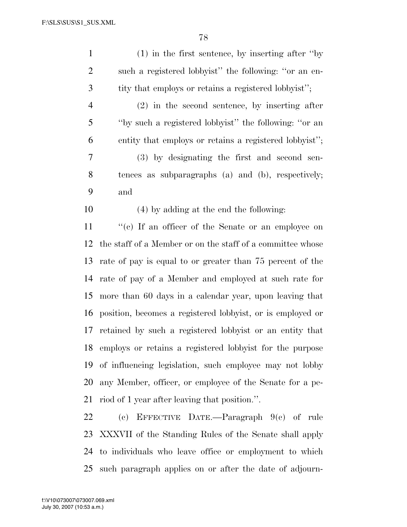| $\mathbf{1}$   | $(1)$ in the first sentence, by inserting after "by"        |
|----------------|-------------------------------------------------------------|
| $\overline{2}$ | such a registered lobbyist" the following: "or an en-       |
| 3              | tity that employs or retains a registered lobbyist";        |
| $\overline{4}$ | $(2)$ in the second sentence, by inserting after            |
| 5              | "by such a registered lobbyist" the following: "or an       |
| 6              | entity that employs or retains a registered lobbyist";      |
| 7              | (3) by designating the first and second sen-                |
| $8\,$          | tences as subparagraphs (a) and (b), respectively;          |
| 9              | and                                                         |
| 10             | (4) by adding at the end the following:                     |
| 11             | "(c) If an officer of the Senate or an employee on          |
| 12             | the staff of a Member or on the staff of a committee whose  |
| 13             | rate of pay is equal to or greater than 75 percent of the   |
| 14             | rate of pay of a Member and employed at such rate for       |
| 15             | more than 60 days in a calendar year, upon leaving that     |
| 16             | position, becomes a registered lobbyist, or is employed or  |
| 17             | retained by such a registered lobbyist or an entity that    |
|                | 18 employs or retains a registered lobbyist for the purpose |
|                | 19 of influencing legislation, such employee may not lobby  |
| 20             | any Member, officer, or employee of the Senate for a pe-    |
| 21             | riod of 1 year after leaving that position.".               |
| 22             | (c) EFFECTIVE DATE.—Paragraph $9(e)$ of rule                |
|                | 23 XXXVII of the Standing Rules of the Senate shall apply   |
|                | 24 to individuals who leave office or employment to which   |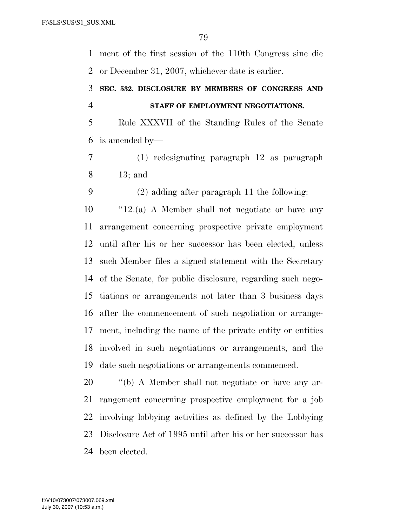ment of the first session of the 110th Congress sine die or December 31, 2007, whichever date is earlier.

### **SEC. 532. DISCLOSURE BY MEMBERS OF CONGRESS AND STAFF OF EMPLOYMENT NEGOTIATIONS.**

 Rule XXXVII of the Standing Rules of the Senate is amended by—

 (1) redesignating paragraph 12 as paragraph 13; and

(2) adding after paragraph 11 the following:

 ''12.(a) A Member shall not negotiate or have any arrangement concerning prospective private employment until after his or her successor has been elected, unless such Member files a signed statement with the Secretary of the Senate, for public disclosure, regarding such nego- tiations or arrangements not later than 3 business days after the commencement of such negotiation or arrange- ment, including the name of the private entity or entities involved in such negotiations or arrangements, and the date such negotiations or arrangements commenced.

 $\qquad$  "(b) A Member shall not negotiate or have any ar- rangement concerning prospective employment for a job involving lobbying activities as defined by the Lobbying Disclosure Act of 1995 until after his or her successor has been elected.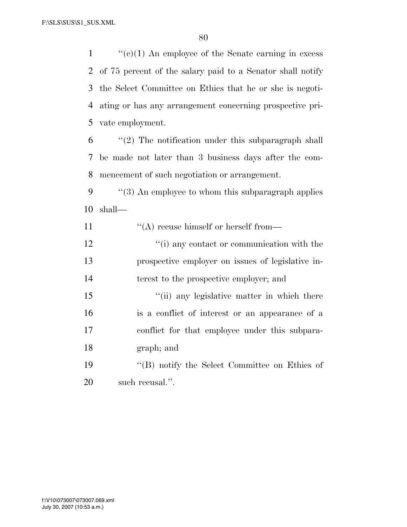''(c)(1) An employee of the Senate earning in excess of 75 percent of the salary paid to a Senator shall notify the Select Committee on Ethics that he or she is negoti- ating or has any arrangement concerning prospective pri-vate employment.

- "(2) The notification under this subparagraph shall be made not later than 3 business days after the com-mencement of such negotiation or arrangement.
- ''(3) An employee to whom this subparagraph applies shall—
- 11  $\langle \text{A} \rangle$  recuse himself or herself from—
- 12  $\cdot$  (i) any contact or communication with the prospective employer on issues of legislative in-terest to the prospective employer; and
- 15 ""(ii) any legislative matter in which there is a conflict of interest or an appearance of a conflict for that employee under this subpara-graph; and
- ''(B) notify the Select Committee on Ethics of such recusal.''.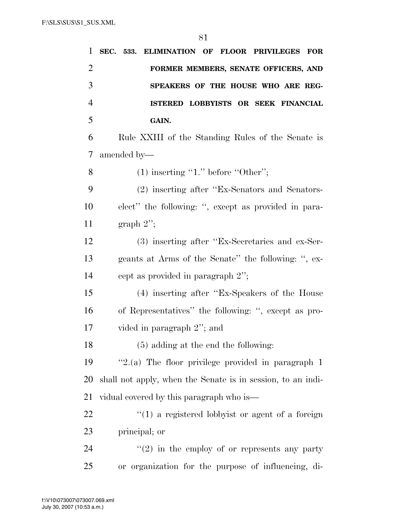| 1              | SEC. 533. ELIMINATION OF FLOOR PRIVILEGES<br>$\bf FOR$      |
|----------------|-------------------------------------------------------------|
| $\overline{2}$ | FORMER MEMBERS, SENATE OFFICERS, AND                        |
| 3              | SPEAKERS OF THE HOUSE WHO ARE REG-                          |
| $\overline{4}$ | ISTERED LOBBYISTS OR SEEK FINANCIAL                         |
| 5              | GAIN.                                                       |
| 6              | Rule XXIII of the Standing Rules of the Senate is           |
| 7              | amended by—                                                 |
| 8              | $(1)$ inserting "1." before "Other";                        |
| 9              | (2) inserting after "Ex-Senators and Senators-              |
| 10             | elect" the following: ", except as provided in para-        |
| 11             | graph $2$ ";                                                |
| 12             | (3) inserting after "Ex-Secretaries and ex-Ser-             |
| 13             | geants at Arms of the Senate" the following: ", ex-         |
| 14             | cept as provided in paragraph 2";                           |
| 15             | (4) inserting after "Ex-Speakers of the House               |
| 16             | of Representatives" the following: ", except as pro-        |
| 17             | vided in paragraph 2"; and                                  |
| 18             | $(5)$ adding at the end the following:                      |
| 19             | "2.(a) The floor privilege provided in paragraph 1          |
| 20             | shall not apply, when the Senate is in session, to an indi- |
| 21             | vidual covered by this paragraph who is—                    |
| 22             | $\lq(1)$ a registered lobbyist or agent of a foreign        |
| 23             | principal; or                                               |
| 24             | $\lq(2)$ in the employ of or represents any party           |
| 25             | or organization for the purpose of influencing, di-         |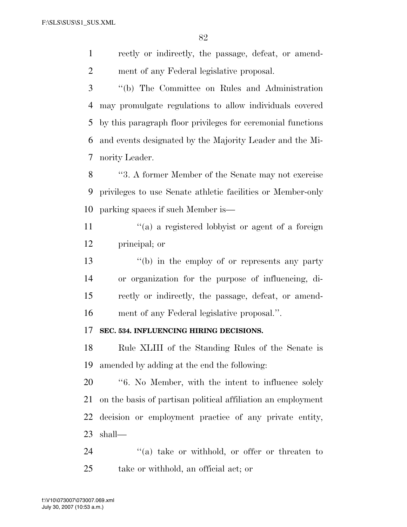rectly or indirectly, the passage, defeat, or amend-ment of any Federal legislative proposal.

 ''(b) The Committee on Rules and Administration may promulgate regulations to allow individuals covered by this paragraph floor privileges for ceremonial functions and events designated by the Majority Leader and the Mi-nority Leader.

 ''3. A former Member of the Senate may not exercise privileges to use Senate athletic facilities or Member-only parking spaces if such Member is—

11  $\gamma$  (a) a registered lobbyist or agent of a foreign principal; or

 ''(b) in the employ of or represents any party or organization for the purpose of influencing, di- rectly or indirectly, the passage, defeat, or amend-ment of any Federal legislative proposal.''.

#### **SEC. 534. INFLUENCING HIRING DECISIONS.**

 Rule XLIII of the Standing Rules of the Senate is amended by adding at the end the following:

 ''6. No Member, with the intent to influence solely on the basis of partisan political affiliation an employment decision or employment practice of any private entity, shall—

24 ''(a) take or withhold, or offer or threaten to take or withhold, an official act; or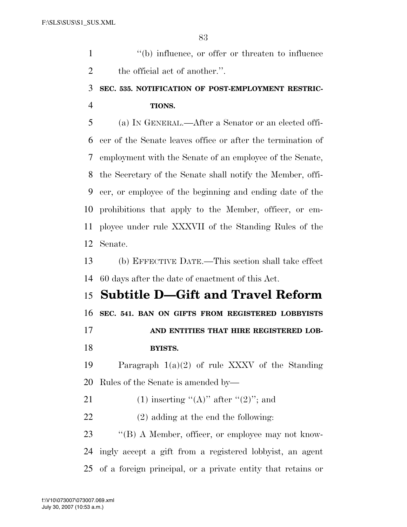1  $"$ (b) influence, or offer or threaten to influence 2 the official act of another.".

# **SEC. 535. NOTIFICATION OF POST-EMPLOYMENT RESTRIC-TIONS.**

 (a) IN GENERAL.—After a Senator or an elected offi- cer of the Senate leaves office or after the termination of employment with the Senate of an employee of the Senate, the Secretary of the Senate shall notify the Member, offi- cer, or employee of the beginning and ending date of the prohibitions that apply to the Member, officer, or em- ployee under rule XXXVII of the Standing Rules of the Senate.

 (b) EFFECTIVE DATE.—This section shall take effect 60 days after the date of enactment of this Act.

 **Subtitle D—Gift and Travel Reform SEC. 541. BAN ON GIFTS FROM REGISTERED LOBBYISTS AND ENTITIES THAT HIRE REGISTERED LOB- BYISTS.**  Paragraph 1(a)(2) of rule XXXV of the Standing

Rules of the Senate is amended by—

21 (1) inserting " $(A)$ " after " $(2)$ "; and

(2) adding at the end the following:

23 "'(B) A Member, officer, or employee may not know- ingly accept a gift from a registered lobbyist, an agent of a foreign principal, or a private entity that retains or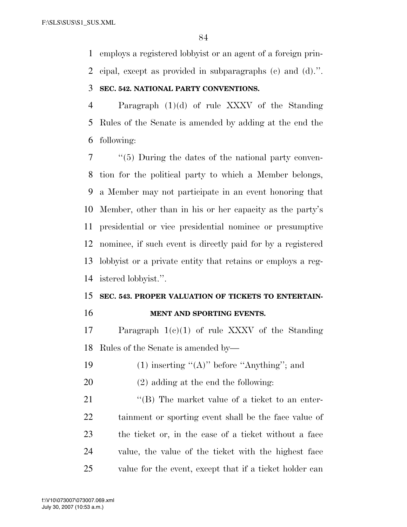employs a registered lobbyist or an agent of a foreign prin-

cipal, except as provided in subparagraphs (c) and (d).''.

### **SEC. 542. NATIONAL PARTY CONVENTIONS.**

 Paragraph (1)(d) of rule XXXV of the Standing Rules of the Senate is amended by adding at the end the following:

 ''(5) During the dates of the national party conven- tion for the political party to which a Member belongs, a Member may not participate in an event honoring that Member, other than in his or her capacity as the party's presidential or vice presidential nominee or presumptive nominee, if such event is directly paid for by a registered lobbyist or a private entity that retains or employs a reg-istered lobbyist.''.

# **SEC. 543. PROPER VALUATION OF TICKETS TO ENTERTAIN-**

### **MENT AND SPORTING EVENTS.**

 Paragraph 1(c)(1) of rule XXXV of the Standing Rules of the Senate is amended by—

- 19  $(1)$  inserting " $(A)$ " before "Anything"; and
- (2) adding at the end the following:

21 ''(B) The market value of a ticket to an enter- tainment or sporting event shall be the face value of the ticket or, in the case of a ticket without a face value, the value of the ticket with the highest face value for the event, except that if a ticket holder can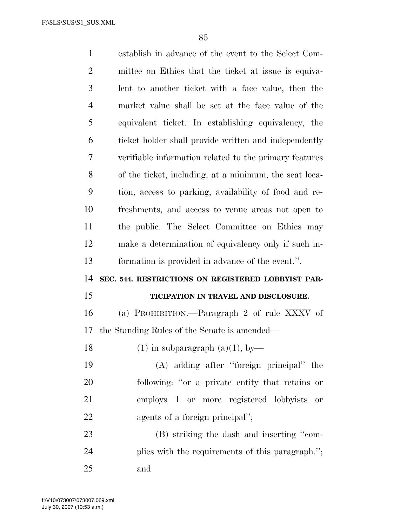| $\mathbf{1}$   | establish in advance of the event to the Select Com-   |
|----------------|--------------------------------------------------------|
| $\overline{2}$ | mittee on Ethics that the ticket at issue is equiva-   |
| 3              | lent to another ticket with a face value, then the     |
| 4              | market value shall be set at the face value of the     |
| 5              | equivalent ticket. In establishing equivalency, the    |
| 6              | ticket holder shall provide written and independently  |
| 7              | verifiable information related to the primary features |
| 8              | of the ticket, including, at a minimum, the seat loca- |
| 9              | tion, access to parking, availability of food and re-  |
| 10             | freshments, and access to venue areas not open to      |
| 11             | the public. The Select Committee on Ethics may         |
| 12             | make a determination of equivalency only if such in-   |
| 13             | formation is provided in advance of the event.".       |
| 14             | SEC. 544. RESTRICTIONS ON REGISTERED LOBBYIST PAR-     |
|                |                                                        |
| 15             | TICIPATION IN TRAVEL AND DISCLOSURE.                   |
| 16             | (a) PROHIBITION.—Paragraph 2 of rule XXXV of           |
| 17             | the Standing Rules of the Senate is amended—           |
| 18             | $(1)$ in subparagraph $(a)(1)$ , by                    |
| 19             | (A) adding after "foreign principal" the               |
| 20             | following: "or a private entity that retains or        |
| 21             | employs 1 or more registered lobbyists<br><b>or</b>    |
| 22             | agents of a foreign principal";                        |
| 23             | (B) striking the dash and inserting "com-              |
| 24             | plies with the requirements of this paragraph.";       |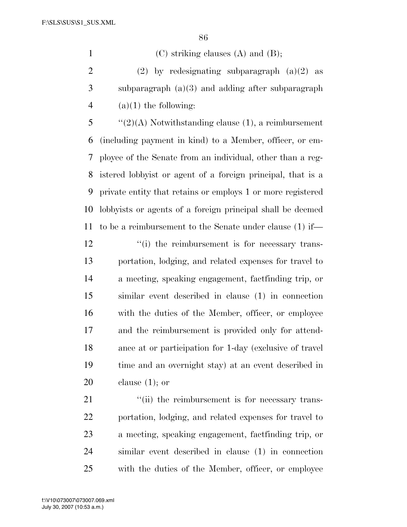1 (C) striking clauses (A) and (B);

2 (2) by redesignating subparagraph  $(a)(2)$  as subparagraph (a)(3) and adding after subparagraph 4 (a)(1) the following:

 ''(2)(A) Notwithstanding clause (1), a reimbursement (including payment in kind) to a Member, officer, or em- ployee of the Senate from an individual, other than a reg- istered lobbyist or agent of a foreign principal, that is a private entity that retains or employs 1 or more registered lobbyists or agents of a foreign principal shall be deemed to be a reimbursement to the Senate under clause (1) if—

12 ''(i) the reimbursement is for necessary trans- portation, lodging, and related expenses for travel to a meeting, speaking engagement, factfinding trip, or similar event described in clause (1) in connection with the duties of the Member, officer, or employee and the reimbursement is provided only for attend- ance at or participation for 1-day (exclusive of travel time and an overnight stay) at an event described in clause (1); or

 $\frac{1}{2}$  (ii) the reimbursement is for necessary trans- portation, lodging, and related expenses for travel to a meeting, speaking engagement, factfinding trip, or similar event described in clause (1) in connection with the duties of the Member, officer, or employee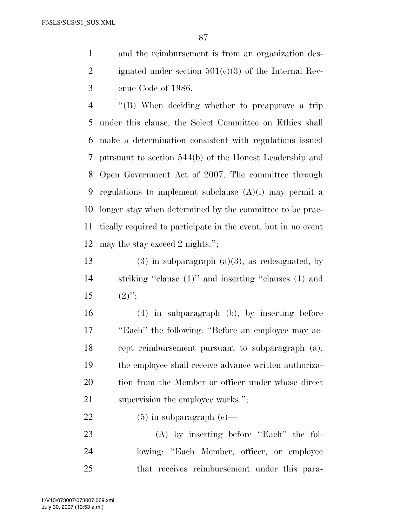and the reimbursement is from an organization des-2 ignated under section  $501(c)(3)$  of the Internal Rev-enue Code of 1986.

 ''(B) When deciding whether to preapprove a trip under this clause, the Select Committee on Ethics shall make a determination consistent with regulations issued pursuant to section 544(b) of the Honest Leadership and Open Government Act of 2007. The committee through regulations to implement subclause (A)(i) may permit a longer stay when determined by the committee to be prac- tically required to participate in the event, but in no event may the stay exceed 2 nights.'';

13 (3) in subparagraph (a)(3), as redesignated, by striking ''clause (1)'' and inserting ''clauses (1) and 15  $(2)$ ";

 (4) in subparagraph (b), by inserting before ''Each'' the following: ''Before an employee may ac- cept reimbursement pursuant to subparagraph (a), the employee shall receive advance written authoriza-20 tion from the Member or officer under whose direct 21 supervision the employee works.";

### 22 (5) in subparagraph  $(c)$ —

23 (A) by inserting before "Each" the fol- lowing: ''Each Member, officer, or employee that receives reimbursement under this para-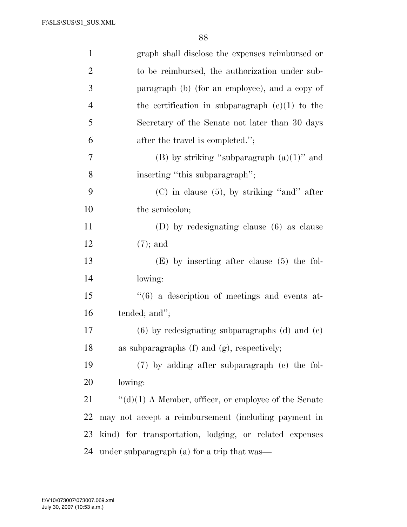| $\mathbf{1}$   | graph shall disclose the expenses reimbursed or              |
|----------------|--------------------------------------------------------------|
| $\overline{2}$ | to be reimbursed, the authorization under sub-               |
| 3              | paragraph (b) (for an employee), and a copy of               |
| $\overline{4}$ | the certification in subparagraph $(e)(1)$ to the            |
| 5              | Secretary of the Senate not later than 30 days               |
| 6              | after the travel is completed.";                             |
| 7              | (B) by striking "subparagraph $(a)(1)$ " and                 |
| 8              | inserting "this subparagraph";                               |
| 9              | $(C)$ in clause $(5)$ , by striking "and" after              |
| 10             | the semicolon;                                               |
| 11             | $(D)$ by redesignating clause $(6)$ as clause                |
| 12             | $(7)$ ; and                                                  |
| 13             | $(E)$ by inserting after clause $(5)$ the fol-               |
| 14             | lowing:                                                      |
| 15             | $``(6)$ a description of meetings and events at-             |
| 16             | tended; and";                                                |
| 17             | $(6)$ by redesignating subparagraphs $(d)$ and $(e)$         |
| 18             | as subparagraphs $(f)$ and $(g)$ , respectively;             |
| 19             | (7) by adding after subparagraph (c) the fol-                |
| 20             | lowing:                                                      |
| 21             | $\lq\lq$ (d)(1) A Member, officer, or employee of the Senate |
| 22             | may not accept a reimbursement (including payment in         |
| 23             | kind) for transportation, lodging, or related expenses       |
| 24             | under subparagraph (a) for a trip that was—                  |

July 30, 2007 (10:53 a.m.) f:\V10\073007\073007.069.xml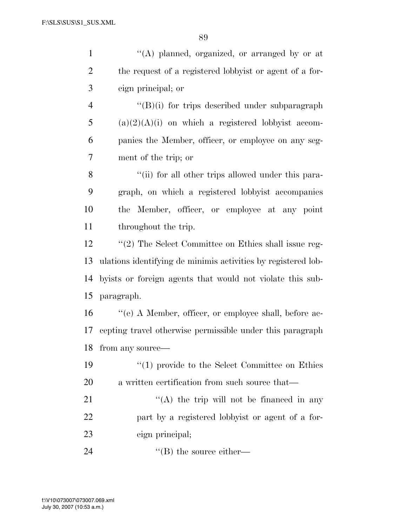| $\mathbf{1}$   | "(A) planned, organized, or arranged by or at                 |
|----------------|---------------------------------------------------------------|
| $\overline{2}$ | the request of a registered lobbyist or agent of a for-       |
| 3              | eign principal; or                                            |
| $\overline{4}$ | $\lq\lq(B)(i)$ for trips described under subparagraph         |
| 5              | $(a)(2)(A)(i)$ on which a registered lobbyist accom-          |
| 6              | panies the Member, officer, or employee on any seg-           |
| 7              | ment of the trip; or                                          |
| 8              | "(ii) for all other trips allowed under this para-            |
| 9              | graph, on which a registered lobbyist accompanies             |
| 10             | the Member, officer, or employee at any point                 |
| 11             | throughout the trip.                                          |
| 12             | $\lq(2)$ The Select Committee on Ethics shall issue reg-      |
| 13             | ulations identifying de minimis activities by registered lob- |
| 14             | by ists or foreign agents that would not violate this sub-    |
| 15             | paragraph.                                                    |
| 16             | "(e) A Member, officer, or employee shall, before ac-         |
| 17             | cepting travel otherwise permissible under this paragraph     |
|                | 18 from any source-                                           |
| 19             | $\lq(1)$ provide to the Select Committee on Ethics            |
| <b>20</b>      | a written certification from such source that—                |
| 21             | "(A) the trip will not be financed in any                     |
| 22             | part by a registered lobbyist or agent of a for-              |
| 23             | eign principal;                                               |
| 24             | $\lq\lq (B)$ the source either—                               |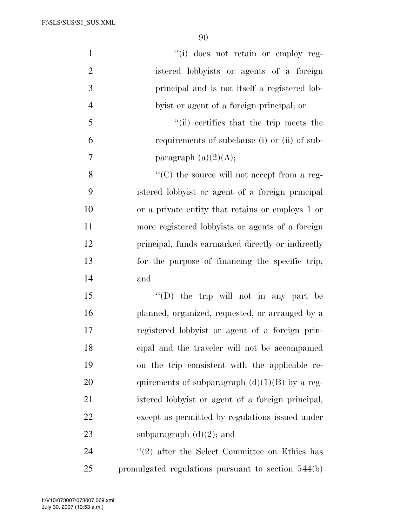| $\mathbf{1}$   | "(i) does not retain or employ reg-                 |
|----------------|-----------------------------------------------------|
| $\overline{2}$ | istered lobbyists or agents of a foreign            |
| $\mathfrak{Z}$ | principal and is not itself a registered lob-       |
| $\overline{4}$ | by ist or agent of a foreign principal; or          |
| 5              | "(ii) certifies that the trip meets the             |
| 6              | requirements of subclause (i) or (ii) of sub-       |
| 7              | paragraph $(a)(2)(A);$                              |
| 8              | $\lq\lq$ (C) the source will not accept from a reg- |
| 9              | istered lobby ist or agent of a foreign principal   |
| 10             | or a private entity that retains or employs 1 or    |
| 11             | more registered lobbyists or agents of a foreign    |
| 12             | principal, funds earmarked directly or indirectly   |
| 13             | for the purpose of financing the specific trip;     |
| 14             | and                                                 |
| 15             | $\lq\lq$ (D) the trip will not in any part be       |
| 16             | planned, organized, requested, or arranged by a     |
| 17             | registered lobbyist or agent of a foreign prin-     |
| 18             | cipal and the traveler will not be accompanied      |
| 19             | on the trip consistent with the applicable re-      |
| 20             | quirements of subparagraph $(d)(1)(B)$ by a reg-    |
| 21             | istered lobby ist or agent of a foreign principal,  |
| 22             | except as permitted by regulations issued under     |
| 23             | subparagraph $(d)(2)$ ; and                         |
| 24             | $''(2)$ after the Select Committee on Ethics has    |
| 25             | promulgated regulations pursuant to section 544(b)  |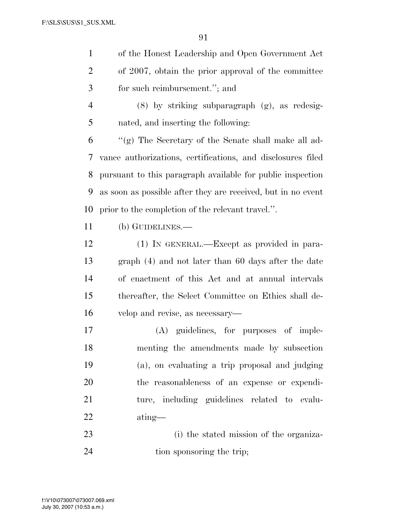|   | of the Honest Leadership and Open Government Act    |
|---|-----------------------------------------------------|
| 2 | of 2007, obtain the prior approval of the committee |
| 3 | for such reimbursement."; and                       |
|   | $(8)$ by striking subparagraph $(g)$ , as redesig-  |
| 5 | nated, and inserting the following:                 |
| 6 | "(g) The Secretary of the Senate shall make all ad- |

 vance authorizations, certifications, and disclosures filed pursuant to this paragraph available for public inspection as soon as possible after they are received, but in no event prior to the completion of the relevant travel.''.

- (b) GUIDELINES.—
- (1) IN GENERAL.—Except as provided in para- graph (4) and not later than 60 days after the date of enactment of this Act and at annual intervals thereafter, the Select Committee on Ethics shall de-velop and revise, as necessary—
- (A) guidelines, for purposes of imple- menting the amendments made by subsection (a), on evaluating a trip proposal and judging the reasonableness of an expense or expendi- ture, including guidelines related to evalu-ating—
- (i) the stated mission of the organiza-24 tion sponsoring the trip;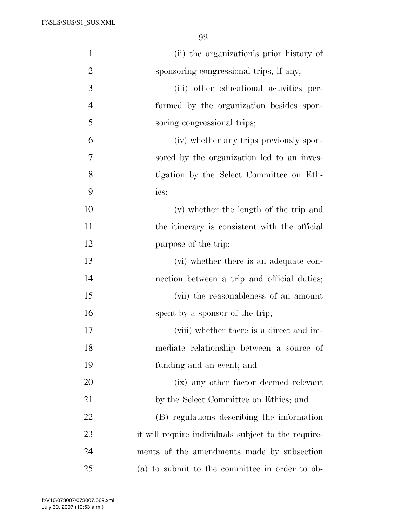| $\mathbf{1}$   | (ii) the organization's prior history of            |
|----------------|-----------------------------------------------------|
| $\overline{2}$ | sponsoring congressional trips, if any;             |
| 3              | (iii) other educational activities per-             |
| $\overline{4}$ | formed by the organization besides spon-            |
| 5              | soring congressional trips;                         |
| 6              | (iv) whether any trips previously spon-             |
| 7              | sored by the organization led to an inves-          |
| 8              | tigation by the Select Committee on Eth-            |
| 9              | ics;                                                |
| 10             | (v) whether the length of the trip and              |
| 11             | the itinerary is consistent with the official       |
| 12             | purpose of the trip;                                |
| 13             | (vi) whether there is an adequate con-              |
| 14             | nection between a trip and official duties;         |
| 15             | (vii) the reasonableness of an amount               |
| 16             | spent by a sponsor of the trip;                     |
| 17             | (viii) whether there is a direct and im-            |
| 18             | mediate relationship between a source of            |
| 19             | funding and an event; and                           |
| 20             | (ix) any other factor deemed relevant               |
| 21             | by the Select Committee on Ethics; and              |
| 22             | (B) regulations describing the information          |
| 23             | it will require individuals subject to the require- |
| 24             | ments of the amendments made by subsection          |
| 25             | (a) to submit to the committee in order to ob-      |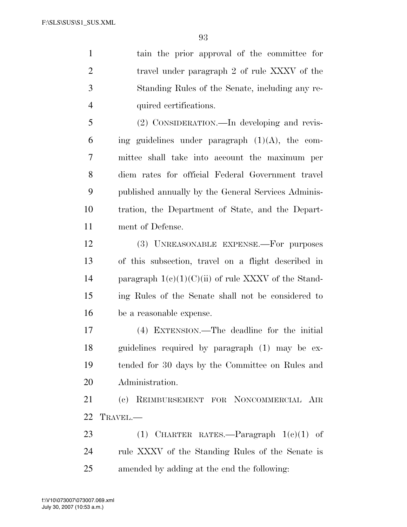tain the prior approval of the committee for 2 travel under paragraph 2 of rule XXXV of the Standing Rules of the Senate, including any re-quired certifications.

 (2) CONSIDERATION.—In developing and revis-6 ing guidelines under paragraph  $(1)(A)$ , the com- mittee shall take into account the maximum per diem rates for official Federal Government travel published annually by the General Services Adminis- tration, the Department of State, and the Depart-ment of Defense.

 (3) UNREASONABLE EXPENSE.—For purposes of this subsection, travel on a flight described in 14 paragraph  $1(c)(1)(C)(ii)$  of rule XXXV of the Stand- ing Rules of the Senate shall not be considered to be a reasonable expense.

 (4) EXTENSION.—The deadline for the initial guidelines required by paragraph (1) may be ex- tended for 30 days by the Committee on Rules and Administration.

 (c) REIMBURSEMENT FOR NONCOMMERCIAL AIR TRAVEL.—

23 (1) CHARTER RATES.—Paragraph  $1(e)(1)$  of rule XXXV of the Standing Rules of the Senate is amended by adding at the end the following: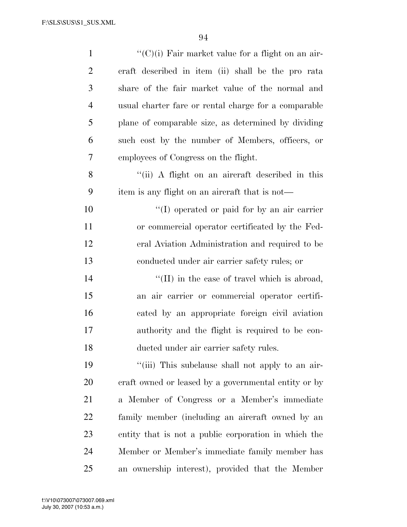| $\mathbf{1}$   | $\lq\lq$ (C)(i) Fair market value for a flight on an air- |
|----------------|-----------------------------------------------------------|
| $\overline{2}$ | craft described in item (ii) shall be the pro rata        |
| 3              | share of the fair market value of the normal and          |
| $\overline{4}$ | usual charter fare or rental charge for a comparable      |
| 5              | plane of comparable size, as determined by dividing       |
| 6              | such cost by the number of Members, officers, or          |
| 7              | employees of Congress on the flight.                      |
| 8              | "(ii) A flight on an aircraft described in this           |
| 9              | item is any flight on an aircraft that is not—            |
| 10             | "(I) operated or paid for by an air carrier               |
| 11             | or commercial operator certificated by the Fed-           |
| 12             | eral Aviation Administration and required to be           |
| 13             | conducted under air carrier safety rules; or              |
| 14             | $\lq\lq$ (II) in the case of travel which is abroad,      |
| 15             | an air carrier or commercial operator certifi-            |
| 16             | cated by an appropriate foreign civil aviation            |
| 17             | authority and the flight is required to be con-           |
| 18             | ducted under air carrier safety rules.                    |
| 19             | "(iii) This subclause shall not apply to an air-          |
| 20             | craft owned or leased by a governmental entity or by      |
| 21             | a Member of Congress or a Member's immediate              |
| 22             | family member (including an aircraft owned by an          |
| 23             | entity that is not a public corporation in which the      |
| 24             | Member or Member's immediate family member has            |
| 25             | an ownership interest), provided that the Member          |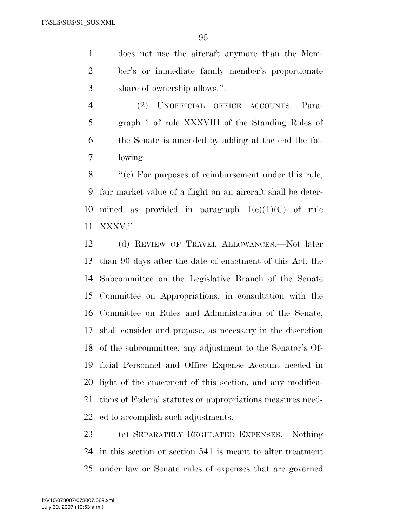does not use the aircraft anymore than the Mem- ber's or immediate family member's proportionate share of ownership allows.''.

 (2) UNOFFICIAL OFFICE ACCOUNTS.—Para- graph 1 of rule XXXVIII of the Standing Rules of the Senate is amended by adding at the end the fol-lowing:

8 "(c) For purposes of reimbursement under this rule, fair market value of a flight on an aircraft shall be deter-10 mined as provided in paragraph  $1(e)(1)(C)$  of rule XXXV.''.

 (d) REVIEW OF TRAVEL ALLOWANCES.—Not later than 90 days after the date of enactment of this Act, the Subcommittee on the Legislative Branch of the Senate Committee on Appropriations, in consultation with the Committee on Rules and Administration of the Senate, shall consider and propose, as necessary in the discretion of the subcommittee, any adjustment to the Senator's Of- ficial Personnel and Office Expense Account needed in light of the enactment of this section, and any modifica- tions of Federal statutes or appropriations measures need-ed to accomplish such adjustments.

 (e) SEPARATELY REGULATED EXPENSES.—Nothing in this section or section 541 is meant to alter treatment under law or Senate rules of expenses that are governed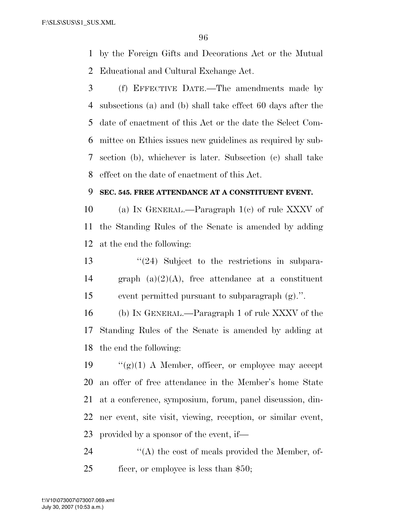by the Foreign Gifts and Decorations Act or the Mutual Educational and Cultural Exchange Act.

 (f) EFFECTIVE DATE.—The amendments made by subsections (a) and (b) shall take effect 60 days after the date of enactment of this Act or the date the Select Com- mittee on Ethics issues new guidelines as required by sub- section (b), whichever is later. Subsection (c) shall take effect on the date of enactment of this Act.

### **SEC. 545. FREE ATTENDANCE AT A CONSTITUENT EVENT.**

 (a) IN GENERAL.—Paragraph 1(c) of rule XXXV of the Standing Rules of the Senate is amended by adding at the end the following:

 ''(24) Subject to the restrictions in subpara-14 graph  $(a)(2)(A)$ , free attendance at a constituent event permitted pursuant to subparagraph (g).''.

 (b) IN GENERAL.—Paragraph 1 of rule XXXV of the Standing Rules of the Senate is amended by adding at the end the following:

 $\frac{1}{2}$  (g)(1) A Member, officer, or employee may accept an offer of free attendance in the Member's home State at a conference, symposium, forum, panel discussion, din- ner event, site visit, viewing, reception, or similar event, provided by a sponsor of the event, if—

24  $\langle A \rangle$  the cost of meals provided the Member, of-ficer, or employee is less than \$50;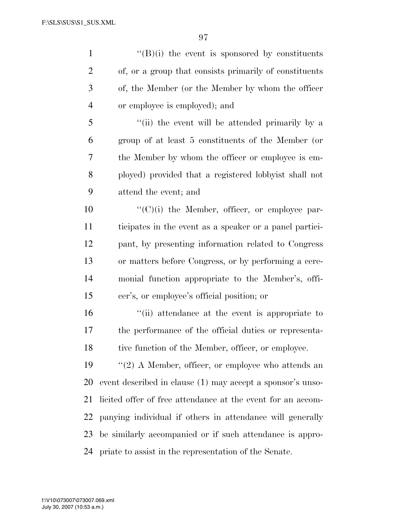''(B)(i) the event is sponsored by constituents of, or a group that consists primarily of constituents of, the Member (or the Member by whom the officer or employee is employed); and ''(ii) the event will be attended primarily by a group of at least 5 constituents of the Member (or the Member by whom the officer or employee is em- ployed) provided that a registered lobbyist shall not attend the event; and  $\langle ^{\prime\prime}(C)(i)\rangle$  the Member, officer, or employee par- ticipates in the event as a speaker or a panel partici- pant, by presenting information related to Congress or matters before Congress, or by performing a cere- monial function appropriate to the Member's, offi- cer's, or employee's official position; or ''(ii) attendance at the event is appropriate to the performance of the official duties or representa-18 tive function of the Member, officer, or employee. ''(2) A Member, officer, or employee who attends an event described in clause (1) may accept a sponsor's unso- licited offer of free attendance at the event for an accom- panying individual if others in attendance will generally be similarly accompanied or if such attendance is appro-

priate to assist in the representation of the Senate.

July 30, 2007 (10:53 a.m.) f:\V10\073007\073007.069.xml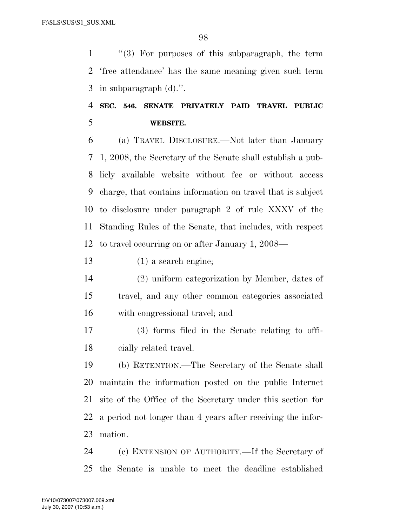''(3) For purposes of this subparagraph, the term 'free attendance' has the same meaning given such term in subparagraph (d).''.

## **SEC. 546. SENATE PRIVATELY PAID TRAVEL PUBLIC WEBSITE.**

 (a) TRAVEL DISCLOSURE.—Not later than January 1, 2008, the Secretary of the Senate shall establish a pub- licly available website without fee or without access charge, that contains information on travel that is subject to disclosure under paragraph 2 of rule XXXV of the Standing Rules of the Senate, that includes, with respect to travel occurring on or after January 1, 2008—

(1) a search engine;

 (2) uniform categorization by Member, dates of travel, and any other common categories associated with congressional travel; and

 (3) forms filed in the Senate relating to offi-cially related travel.

 (b) RETENTION.—The Secretary of the Senate shall maintain the information posted on the public Internet site of the Office of the Secretary under this section for a period not longer than 4 years after receiving the infor-mation.

 (c) EXTENSION OF AUTHORITY.—If the Secretary of the Senate is unable to meet the deadline established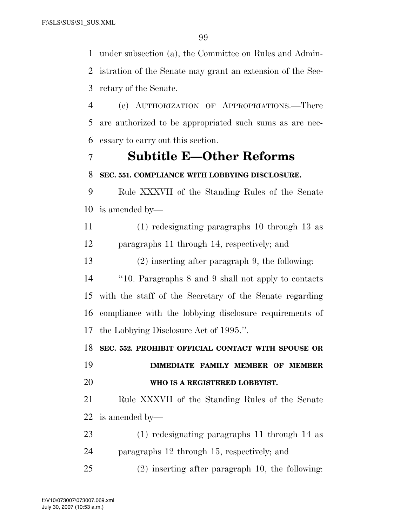under subsection (a), the Committee on Rules and Admin- istration of the Senate may grant an extension of the Sec-retary of the Senate.

 (e) AUTHORIZATION OF APPROPRIATIONS.—There are authorized to be appropriated such sums as are nec-essary to carry out this section.

### **Subtitle E—Other Reforms**

### **SEC. 551. COMPLIANCE WITH LOBBYING DISCLOSURE.**

 Rule XXXVII of the Standing Rules of the Senate is amended by—

 (1) redesignating paragraphs 10 through 13 as paragraphs 11 through 14, respectively; and

(2) inserting after paragraph 9, the following:

 ''10. Paragraphs 8 and 9 shall not apply to contacts with the staff of the Secretary of the Senate regarding compliance with the lobbying disclosure requirements of the Lobbying Disclosure Act of 1995.''.

**SEC. 552. PROHIBIT OFFICIAL CONTACT WITH SPOUSE OR** 

# **IMMEDIATE FAMILY MEMBER OF MEMBER WHO IS A REGISTERED LOBBYIST.**

 Rule XXXVII of the Standing Rules of the Senate is amended by—

 (1) redesignating paragraphs 11 through 14 as paragraphs 12 through 15, respectively; and

(2) inserting after paragraph 10, the following: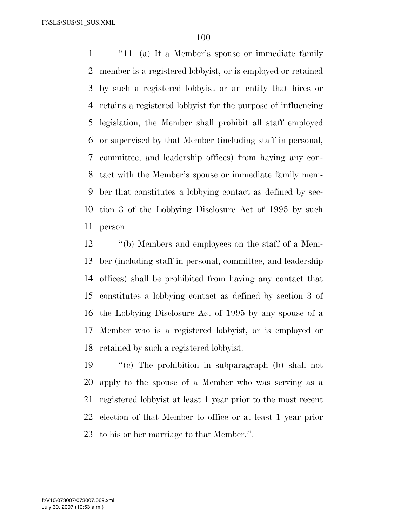''11. (a) If a Member's spouse or immediate family member is a registered lobbyist, or is employed or retained by such a registered lobbyist or an entity that hires or retains a registered lobbyist for the purpose of influencing legislation, the Member shall prohibit all staff employed or supervised by that Member (including staff in personal, committee, and leadership offices) from having any con- tact with the Member's spouse or immediate family mem- ber that constitutes a lobbying contact as defined by sec- tion 3 of the Lobbying Disclosure Act of 1995 by such person.

 ''(b) Members and employees on the staff of a Mem- ber (including staff in personal, committee, and leadership offices) shall be prohibited from having any contact that constitutes a lobbying contact as defined by section 3 of the Lobbying Disclosure Act of 1995 by any spouse of a Member who is a registered lobbyist, or is employed or retained by such a registered lobbyist.

 ''(c) The prohibition in subparagraph (b) shall not apply to the spouse of a Member who was serving as a registered lobbyist at least 1 year prior to the most recent election of that Member to office or at least 1 year prior to his or her marriage to that Member.''.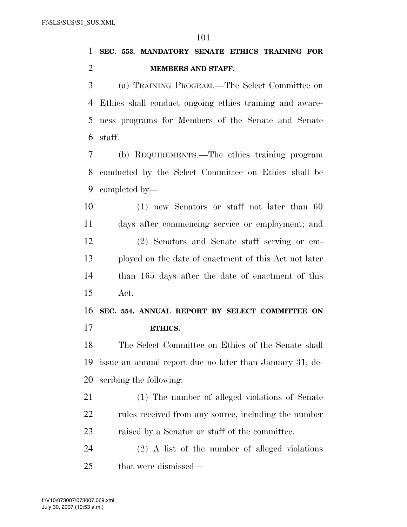**SEC. 553. MANDATORY SENATE ETHICS TRAINING FOR MEMBERS AND STAFF.** 

 (a) TRAINING PROGRAM.—The Select Committee on Ethics shall conduct ongoing ethics training and aware- ness programs for Members of the Senate and Senate staff.

 (b) REQUIREMENTS.—The ethics training program conducted by the Select Committee on Ethics shall be completed by—

 (1) new Senators or staff not later than 60 days after commencing service or employment; and (2) Senators and Senate staff serving or em- ployed on the date of enactment of this Act not later than 165 days after the date of enactment of this Act.

 **SEC. 554. ANNUAL REPORT BY SELECT COMMITTEE ON ETHICS.** 

 The Select Committee on Ethics of the Senate shall issue an annual report due no later than January 31, de-scribing the following:

 (1) The number of alleged violations of Senate 22 rules received from any source, including the number raised by a Senator or staff of the committee.

 (2) A list of the number of alleged violations that were dismissed—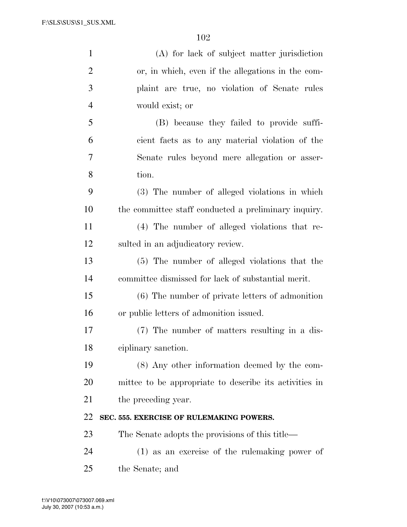| $\mathbf{1}$   | (A) for lack of subject matter jurisdiction            |
|----------------|--------------------------------------------------------|
| $\overline{2}$ | or, in which, even if the allegations in the com-      |
| 3              | plaint are true, no violation of Senate rules          |
| $\overline{4}$ | would exist; or                                        |
| 5              | (B) because they failed to provide suffi-              |
| 6              | cient facts as to any material violation of the        |
| 7              | Senate rules beyond mere allegation or asser-          |
| 8              | tion.                                                  |
| 9              | (3) The number of alleged violations in which          |
| 10             | the committee staff conducted a preliminary inquiry.   |
| 11             | (4) The number of alleged violations that re-          |
| 12             | sulted in an adjudicatory review.                      |
| 13             | (5) The number of alleged violations that the          |
| 14             | committee dismissed for lack of substantial merit.     |
| 15             | (6) The number of private letters of admonition        |
| 16             | or public letters of admonition issued.                |
| 17             | (7) The number of matters resulting in a dis-          |
| 18             | ciplinary sanction.                                    |
| 19             | (8) Any other information deemed by the com-           |
| 20             | mittee to be appropriate to describe its activities in |
| 21             | the preceding year.                                    |
| 22             | SEC. 555. EXERCISE OF RULEMAKING POWERS.               |
| 23             | The Senate adopts the provisions of this title—        |
| 24             | (1) as an exercise of the rule making power of         |
| 25             | the Senate; and                                        |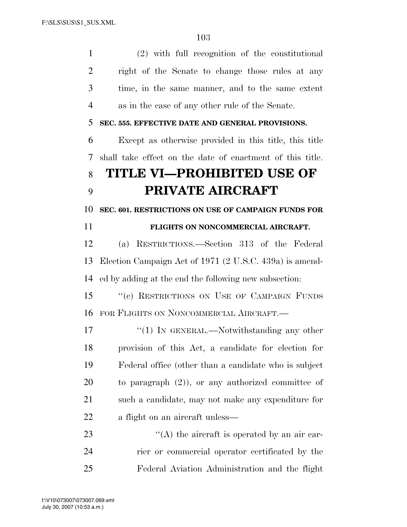(2) with full recognition of the constitutional right of the Senate to change those rules at any time, in the same manner, and to the same extent as in the case of any other rule of the Senate. **SEC. 555. EFFECTIVE DATE AND GENERAL PROVISIONS.**  Except as otherwise provided in this title, this title shall take effect on the date of enactment of this title. **TITLE VI—PROHIBITED USE OF PRIVATE AIRCRAFT SEC. 601. RESTRICTIONS ON USE OF CAMPAIGN FUNDS FOR FLIGHTS ON NONCOMMERCIAL AIRCRAFT.**  (a) RESTRICTIONS.—Section 313 of the Federal Election Campaign Act of 1971 (2 U.S.C. 439a) is amend- ed by adding at the end the following new subsection: 15 "(c) RESTRICTIONS ON USE OF CAMPAIGN FUNDS FOR FLIGHTS ON NONCOMMERCIAL AIRCRAFT.— 17 "(1) IN GENERAL.—Notwithstanding any other provision of this Act, a candidate for election for Federal office (other than a candidate who is subject to paragraph (2)), or any authorized committee of such a candidate, may not make any expenditure for a flight on an aircraft unless— 23 ''(A) the aircraft is operated by an air car- rier or commercial operator certificated by the Federal Aviation Administration and the flight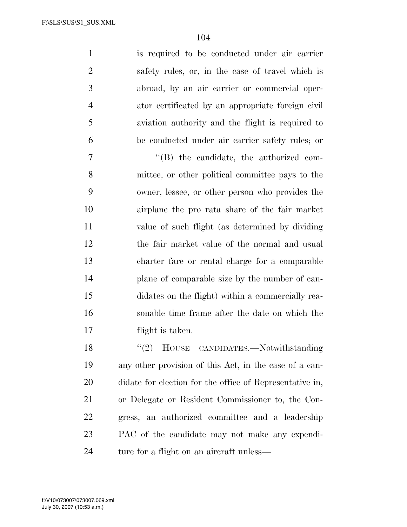is required to be conducted under air carrier safety rules, or, in the case of travel which is abroad, by an air carrier or commercial oper- ator certificated by an appropriate foreign civil aviation authority and the flight is required to be conducted under air carrier safety rules; or

 $''(B)$  the candidate, the authorized com- mittee, or other political committee pays to the owner, lessee, or other person who provides the airplane the pro rata share of the fair market value of such flight (as determined by dividing the fair market value of the normal and usual charter fare or rental charge for a comparable plane of comparable size by the number of can- didates on the flight) within a commercially rea- sonable time frame after the date on which the flight is taken.

 ''(2) HOUSE CANDIDATES.—Notwithstanding any other provision of this Act, in the case of a can- didate for election for the office of Representative in, or Delegate or Resident Commissioner to, the Con- gress, an authorized committee and a leadership PAC of the candidate may not make any expendi-24 ture for a flight on an aircraft unless—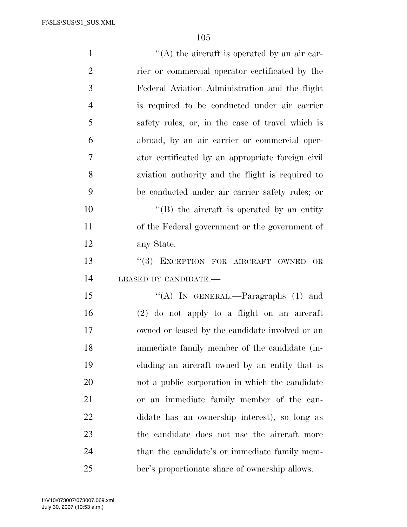| $\mathbf{1}$   | $\lq\lq$ the aircraft is operated by an air car-  |
|----------------|---------------------------------------------------|
| $\overline{2}$ | rier or commercial operator certificated by the   |
| 3              | Federal Aviation Administration and the flight    |
| $\overline{4}$ | is required to be conducted under air carrier     |
| 5              | safety rules, or, in the case of travel which is  |
| 6              | abroad, by an air carrier or commercial oper-     |
| 7              | ator certificated by an appropriate foreign civil |
| 8              | aviation authority and the flight is required to  |
| 9              | be conducted under air carrier safety rules; or   |
| 10             | $\lq\lq$ the aircraft is operated by an entity    |
| 11             | of the Federal government or the government of    |
| 12             | any State.                                        |
| 13             | "(3) EXCEPTION FOR AIRCRAFT OWNED<br>OR           |
| 14             | LEASED BY CANDIDATE.-                             |
| 15             | "(A) IN GENERAL.—Paragraphs $(1)$ and             |
| 16             | $(2)$ do not apply to a flight on an aircraft     |
| 17             | owned or leased by the candidate involved or an   |
| 18             | immediate family member of the candidate (in-     |
| 19             | eluding an aircraft owned by an entity that is    |
| 20             | not a public corporation in which the candidate   |
| 21             | or an immediate family member of the can-         |
| 22             | didate has an ownership interest), so long as     |
| 23             | the candidate does not use the aircraft more      |
| 24             | than the candidate's or immediate family mem-     |
| 25             | ber's proportionate share of ownership allows.    |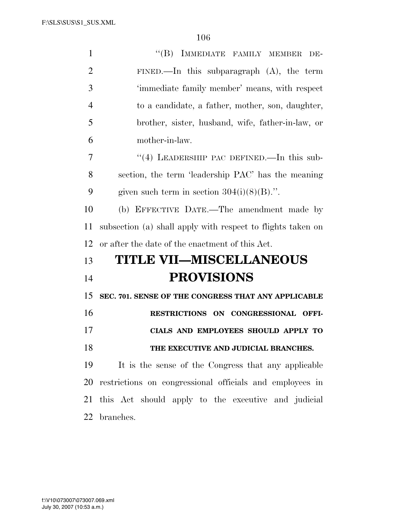| $\mathbf{1}$   | "(B) IMMEDIATE FAMILY MEMBER<br>DE-                         |
|----------------|-------------------------------------------------------------|
| $\overline{2}$ | FINED.—In this subparagraph $(A)$ , the term                |
| 3              | 'immediate family member' means, with respect               |
| $\overline{4}$ | to a candidate, a father, mother, son, daughter,            |
| 5              | brother, sister, husband, wife, father-in-law, or           |
| 6              | mother-in-law.                                              |
| 7              | $(4)$ LEADERSHIP PAC DEFINED.—In this sub-                  |
| 8              | section, the term 'leadership PAC' has the meaning          |
| 9              | given such term in section $304(i)(8)(B)$ .".               |
| 10             | (b) EFFECTIVE DATE.—The amendment made by                   |
| 11             | subsection (a) shall apply with respect to flights taken on |
| 12             | or after the date of the enactment of this Act.             |
| 13             | <b>TITLE VII-MISCELLANEOUS</b>                              |
| 14             | <b>PROVISIONS</b>                                           |
| 15             | SEC. 701. SENSE OF THE CONGRESS THAT ANY APPLICABLE         |
| 16             | RESTRICTIONS ON CONGRESSIONAL OFFI-                         |
| 17             | CIALS AND EMPLOYEES SHOULD APPLY TO                         |
| 18             | THE EXECUTIVE AND JUDICIAL BRANCHES.                        |
| 19             | It is the sense of the Congress that any applicable         |
| 20             | restrictions on congressional officials and employees in    |
| 21             | this Act should apply to the executive and judicial         |
| 22             | branches.                                                   |